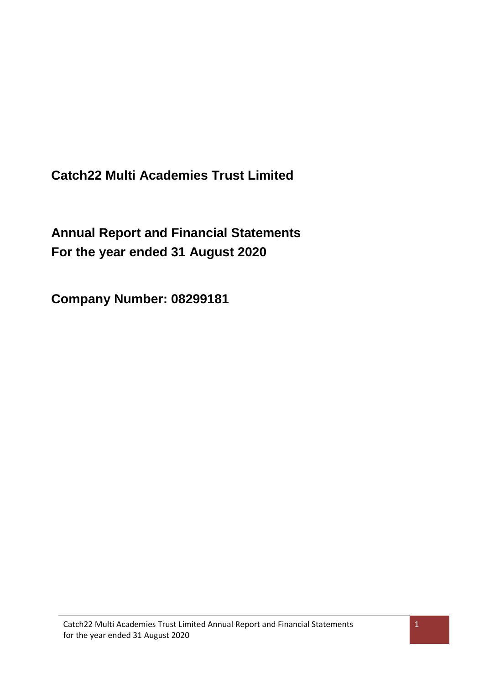**Annual Report and Financial Statements For the year ended 31 August 2020**

**Company Number: 08299181**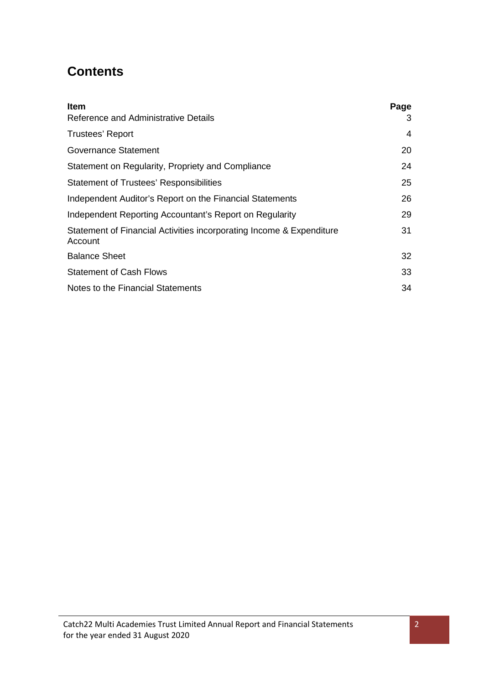# **Contents**

| <b>Item</b>                                                                     | Page |
|---------------------------------------------------------------------------------|------|
| Reference and Administrative Details                                            | 3    |
| <b>Trustees' Report</b>                                                         | 4    |
| <b>Governance Statement</b>                                                     | 20   |
| Statement on Regularity, Propriety and Compliance                               | 24   |
| <b>Statement of Trustees' Responsibilities</b>                                  | 25   |
| Independent Auditor's Report on the Financial Statements                        | 26   |
| Independent Reporting Accountant's Report on Regularity                         | 29   |
| Statement of Financial Activities incorporating Income & Expenditure<br>Account | 31   |
| <b>Balance Sheet</b>                                                            | 32   |
| <b>Statement of Cash Flows</b>                                                  | 33   |
| Notes to the Financial Statements                                               | 34   |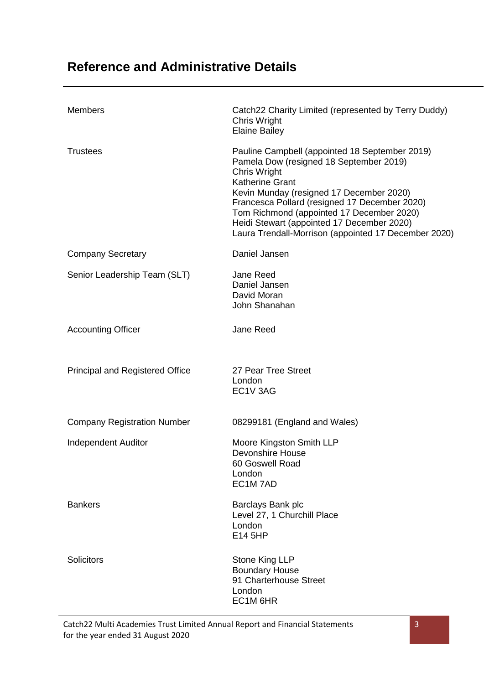# **Reference and Administrative Details**

| <b>Members</b>                         | Catch22 Charity Limited (represented by Terry Duddy)<br>Chris Wright<br><b>Elaine Bailey</b>                                                                                                                                                                                                                                                                                        |
|----------------------------------------|-------------------------------------------------------------------------------------------------------------------------------------------------------------------------------------------------------------------------------------------------------------------------------------------------------------------------------------------------------------------------------------|
| <b>Trustees</b>                        | Pauline Campbell (appointed 18 September 2019)<br>Pamela Dow (resigned 18 September 2019)<br>Chris Wright<br><b>Katherine Grant</b><br>Kevin Munday (resigned 17 December 2020)<br>Francesca Pollard (resigned 17 December 2020)<br>Tom Richmond (appointed 17 December 2020)<br>Heidi Stewart (appointed 17 December 2020)<br>Laura Trendall-Morrison (appointed 17 December 2020) |
| <b>Company Secretary</b>               | Daniel Jansen                                                                                                                                                                                                                                                                                                                                                                       |
| Senior Leadership Team (SLT)           | Jane Reed<br>Daniel Jansen<br>David Moran<br>John Shanahan                                                                                                                                                                                                                                                                                                                          |
| <b>Accounting Officer</b>              | Jane Reed                                                                                                                                                                                                                                                                                                                                                                           |
| <b>Principal and Registered Office</b> | 27 Pear Tree Street<br>London<br>EC1V 3AG                                                                                                                                                                                                                                                                                                                                           |
| <b>Company Registration Number</b>     | 08299181 (England and Wales)                                                                                                                                                                                                                                                                                                                                                        |
| <b>Independent Auditor</b>             | Moore Kingston Smith LLP<br><b>Devonshire House</b><br>60 Goswell Road<br>London<br>EC1M7AD                                                                                                                                                                                                                                                                                         |
| <b>Bankers</b>                         | Barclays Bank plc<br>Level 27, 1 Churchill Place<br>London<br>E14 5HP                                                                                                                                                                                                                                                                                                               |
| Solicitors                             | Stone King LLP<br><b>Boundary House</b><br>91 Charterhouse Street<br>London<br>EC1M 6HR                                                                                                                                                                                                                                                                                             |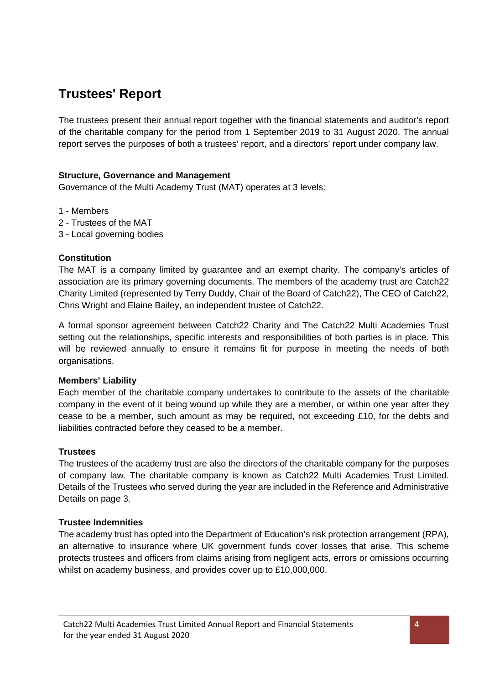# **Trustees' Report**

The trustees present their annual report together with the financial statements and auditor's report of the charitable company for the period from 1 September 2019 to 31 August 2020. The annual report serves the purposes of both a trustees' report, and a directors' report under company law.

## **Structure, Governance and Management**

Governance of the Multi Academy Trust (MAT) operates at 3 levels:

- 1 Members
- 2 Trustees of the MAT
- 3 Local governing bodies

### **Constitution**

The MAT is a company limited by guarantee and an exempt charity. The company's articles of association are its primary governing documents. The members of the academy trust are Catch22 Charity Limited (represented by Terry Duddy, Chair of the Board of Catch22), The CEO of Catch22, Chris Wright and Elaine Bailey, an independent trustee of Catch22.

A formal sponsor agreement between Catch22 Charity and The Catch22 Multi Academies Trust setting out the relationships, specific interests and responsibilities of both parties is in place. This will be reviewed annually to ensure it remains fit for purpose in meeting the needs of both organisations.

### **Members' Liability**

Each member of the charitable company undertakes to contribute to the assets of the charitable company in the event of it being wound up while they are a member, or within one year after they cease to be a member, such amount as may be required, not exceeding £10, for the debts and liabilities contracted before they ceased to be a member.

### **Trustees**

The trustees of the academy trust are also the directors of the charitable company for the purposes of company law. The charitable company is known as Catch22 Multi Academies Trust Limited. Details of the Trustees who served during the year are included in the Reference and Administrative Details on page 3.

### **Trustee Indemnities**

The academy trust has opted into the Department of Education's risk protection arrangement (RPA), an alternative to insurance where UK government funds cover losses that arise. This scheme protects trustees and officers from claims arising from negligent acts, errors or omissions occurring whilst on academy business, and provides cover up to £10,000,000.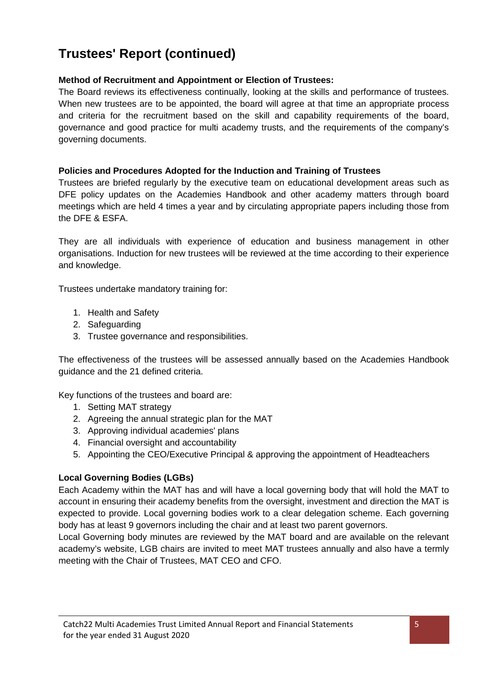## **Method of Recruitment and Appointment or Election of Trustees:**

The Board reviews its effectiveness continually, looking at the skills and performance of trustees. When new trustees are to be appointed, the board will agree at that time an appropriate process and criteria for the recruitment based on the skill and capability requirements of the board, governance and good practice for multi academy trusts, and the requirements of the company's governing documents.

## **Policies and Procedures Adopted for the Induction and Training of Trustees**

Trustees are briefed regularly by the executive team on educational development areas such as DFE policy updates on the Academies Handbook and other academy matters through board meetings which are held 4 times a year and by circulating appropriate papers including those from the DFE & ESFA.

They are all individuals with experience of education and business management in other organisations. Induction for new trustees will be reviewed at the time according to their experience and knowledge.

Trustees undertake mandatory training for:

- 1. Health and Safety
- 2. Safeguarding
- 3. Trustee governance and responsibilities.

The effectiveness of the trustees will be assessed annually based on the Academies Handbook guidance and the 21 defined criteria.

Key functions of the trustees and board are:

- 1. Setting MAT strategy
- 2. Agreeing the annual strategic plan for the MAT
- 3. Approving individual academies' plans
- 4. Financial oversight and accountability
- 5. Appointing the CEO/Executive Principal & approving the appointment of Headteachers

## **Local Governing Bodies (LGBs)**

Each Academy within the MAT has and will have a local governing body that will hold the MAT to account in ensuring their academy benefits from the oversight, investment and direction the MAT is expected to provide. Local governing bodies work to a clear delegation scheme. Each governing body has at least 9 governors including the chair and at least two parent governors.

Local Governing body minutes are reviewed by the MAT board and are available on the relevant academy's website, LGB chairs are invited to meet MAT trustees annually and also have a termly meeting with the Chair of Trustees, MAT CEO and CFO.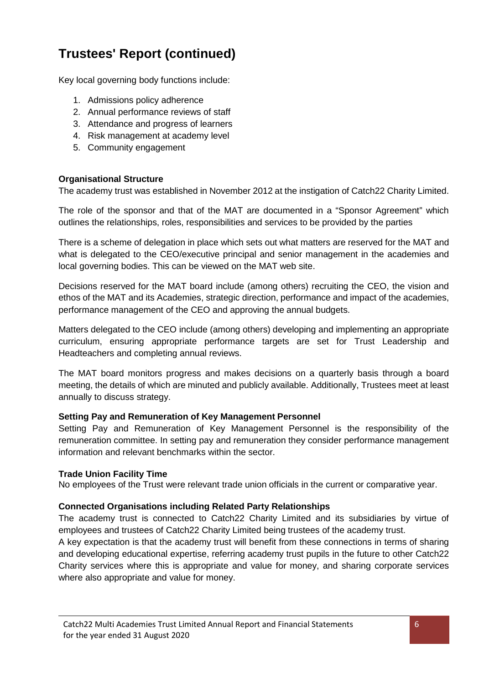Key local governing body functions include:

- 1. Admissions policy adherence
- 2. Annual performance reviews of staff
- 3. Attendance and progress of learners
- 4. Risk management at academy level
- 5. Community engagement

## **Organisational Structure**

The academy trust was established in November 2012 at the instigation of Catch22 Charity Limited.

The role of the sponsor and that of the MAT are documented in a "Sponsor Agreement" which outlines the relationships, roles, responsibilities and services to be provided by the parties

There is a scheme of delegation in place which sets out what matters are reserved for the MAT and what is delegated to the CEO/executive principal and senior management in the academies and local governing bodies. This can be viewed on the MAT web site.

Decisions reserved for the MAT board include (among others) recruiting the CEO, the vision and ethos of the MAT and its Academies, strategic direction, performance and impact of the academies, performance management of the CEO and approving the annual budgets.

Matters delegated to the CEO include (among others) developing and implementing an appropriate curriculum, ensuring appropriate performance targets are set for Trust Leadership and Headteachers and completing annual reviews.

The MAT board monitors progress and makes decisions on a quarterly basis through a board meeting, the details of which are minuted and publicly available. Additionally, Trustees meet at least annually to discuss strategy.

## **Setting Pay and Remuneration of Key Management Personnel**

Setting Pay and Remuneration of Key Management Personnel is the responsibility of the remuneration committee. In setting pay and remuneration they consider performance management information and relevant benchmarks within the sector.

## **Trade Union Facility Time**

No employees of the Trust were relevant trade union officials in the current or comparative year.

## **Connected Organisations including Related Party Relationships**

The academy trust is connected to Catch22 Charity Limited and its subsidiaries by virtue of employees and trustees of Catch22 Charity Limited being trustees of the academy trust.

A key expectation is that the academy trust will benefit from these connections in terms of sharing and developing educational expertise, referring academy trust pupils in the future to other Catch22 Charity services where this is appropriate and value for money, and sharing corporate services where also appropriate and value for money.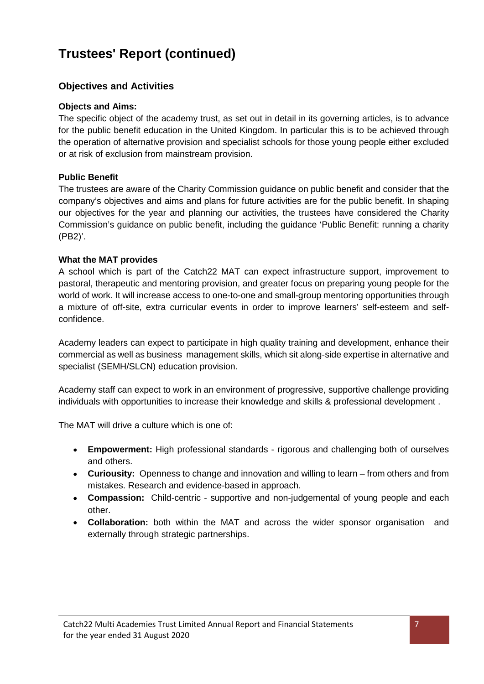## **Objectives and Activities**

## **Objects and Aims:**

The specific object of the academy trust, as set out in detail in its governing articles, is to advance for the public benefit education in the United Kingdom. In particular this is to be achieved through the operation of alternative provision and specialist schools for those young people either excluded or at risk of exclusion from mainstream provision.

## **Public Benefit**

The trustees are aware of the Charity Commission guidance on public benefit and consider that the company's objectives and aims and plans for future activities are for the public benefit. In shaping our objectives for the year and planning our activities, the trustees have considered the Charity Commission's guidance on public benefit, including the guidance 'Public Benefit: running a charity (PB2)'.

## **What the MAT provides**

A school which is part of the Catch22 MAT can expect infrastructure support, improvement to pastoral, therapeutic and mentoring provision, and greater focus on preparing young people for the world of work. It will increase access to one-to-one and small-group mentoring opportunities through a mixture of off-site, extra curricular events in order to improve learners' self-esteem and selfconfidence.

Academy leaders can expect to participate in high quality training and development, enhance their commercial as well as business management skills, which sit along-side expertise in alternative and specialist (SEMH/SLCN) education provision.

Academy staff can expect to work in an environment of progressive, supportive challenge providing individuals with opportunities to increase their knowledge and skills & professional development .

The MAT will drive a culture which is one of:

- **Empowerment:** High professional standards rigorous and challenging both of ourselves and others.
- **Curiousity:** Openness to change and innovation and willing to learn from others and from mistakes. Research and evidence-based in approach.
- **Compassion:** Child-centric supportive and non-judgemental of young people and each other.
- **Collaboration:** both within the MAT and across the wider sponsor organisation and externally through strategic partnerships.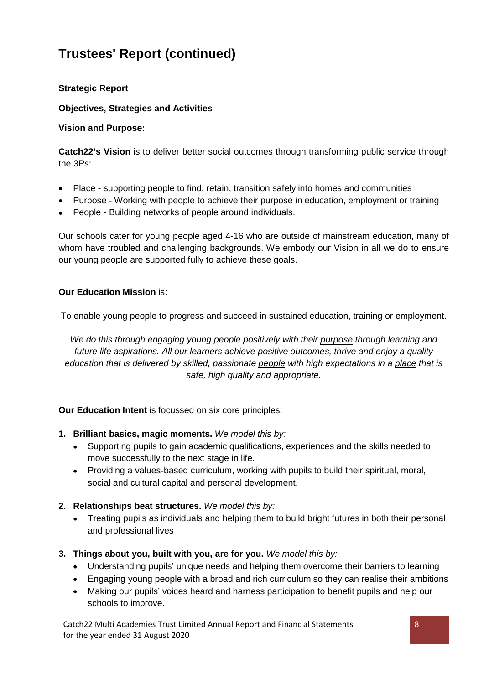## **Strategic Report**

## **Objectives, Strategies and Activities**

## **Vision and Purpose:**

**Catch22's Vision** is to deliver better social outcomes through transforming public service through the 3Ps:

- Place supporting people to find, retain, transition safely into homes and communities
- Purpose Working with people to achieve their purpose in education, employment or training
- People Building networks of people around individuals.

Our schools cater for young people aged 4-16 who are outside of mainstream education, many of whom have troubled and challenging backgrounds. We embody our Vision in all we do to ensure our young people are supported fully to achieve these goals.

## **Our Education Mission** is:

To enable young people to progress and succeed in sustained education, training or employment.

*We do this through engaging young people positively with their purpose through learning and future life aspirations. All our learners achieve positive outcomes, thrive and enjoy a quality education that is delivered by skilled, passionate people with high expectations in a place that is safe, high quality and appropriate.*

**Our Education Intent** is focussed on six core principles:

- **1. Brilliant basics, magic moments.** *We model this by:*
	- Supporting pupils to gain academic qualifications, experiences and the skills needed to move successfully to the next stage in life.
	- Providing a values-based curriculum, working with pupils to build their spiritual, moral, social and cultural capital and personal development.
- **2. Relationships beat structures.** *We model this by:*
	- Treating pupils as individuals and helping them to build bright futures in both their personal and professional lives
- **3. Things about you, built with you, are for you.** *We model this by:*
	- Understanding pupils' unique needs and helping them overcome their barriers to learning
	- Engaging young people with a broad and rich curriculum so they can realise their ambitions
	- Making our pupils' voices heard and harness participation to benefit pupils and help our schools to improve.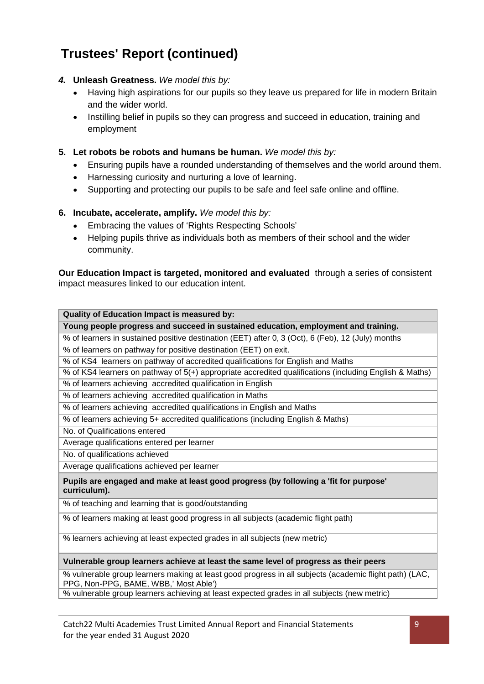## *4.* **Unleash Greatness.** *We model this by:*

- Having high aspirations for our pupils so they leave us prepared for life in modern Britain and the wider world.
- Instilling belief in pupils so they can progress and succeed in education, training and employment
- **5. Let robots be robots and humans be human.** *We model this by:*
	- Ensuring pupils have a rounded understanding of themselves and the world around them.
	- Harnessing curiosity and nurturing a love of learning.
	- Supporting and protecting our pupils to be safe and feel safe online and offline.

## **6. Incubate, accelerate, amplify.** *We model this by:*

- Embracing the values of 'Rights Respecting Schools'
- Helping pupils thrive as individuals both as members of their school and the wider community.

**Our Education Impact is targeted, monitored and evaluated** through a series of consistent impact measures linked to our education intent.

| Quality of Education Impact is measured by:                                                                                                          |
|------------------------------------------------------------------------------------------------------------------------------------------------------|
| Young people progress and succeed in sustained education, employment and training.                                                                   |
| % of learners in sustained positive destination (EET) after 0, 3 (Oct), 6 (Feb), 12 (July) months                                                    |
| % of learners on pathway for positive destination (EET) on exit.                                                                                     |
| % of KS4 learners on pathway of accredited qualifications for English and Maths                                                                      |
| % of KS4 learners on pathway of 5(+) appropriate accredited qualifications (including English & Maths)                                               |
| % of learners achieving accredited qualification in English                                                                                          |
| % of learners achieving accredited qualification in Maths                                                                                            |
| % of learners achieving accredited qualifications in English and Maths                                                                               |
| % of learners achieving 5+ accredited qualifications (including English & Maths)                                                                     |
| No. of Qualifications entered                                                                                                                        |
| Average qualifications entered per learner                                                                                                           |
| No. of qualifications achieved                                                                                                                       |
| Average qualifications achieved per learner                                                                                                          |
| Pupils are engaged and make at least good progress (by following a 'fit for purpose'<br>curriculum).                                                 |
| % of teaching and learning that is good/outstanding                                                                                                  |
| % of learners making at least good progress in all subjects (academic flight path)                                                                   |
| % learners achieving at least expected grades in all subjects (new metric)                                                                           |
| Vulnerable group learners achieve at least the same level of progress as their peers                                                                 |
| % vulnerable group learners making at least good progress in all subjects (academic flight path) (LAC,<br>PPG, Non-PPG, BAME, WBB,' Most Able')<br>. |

% vulnerable group learners achieving at least expected grades in all subjects (new metric)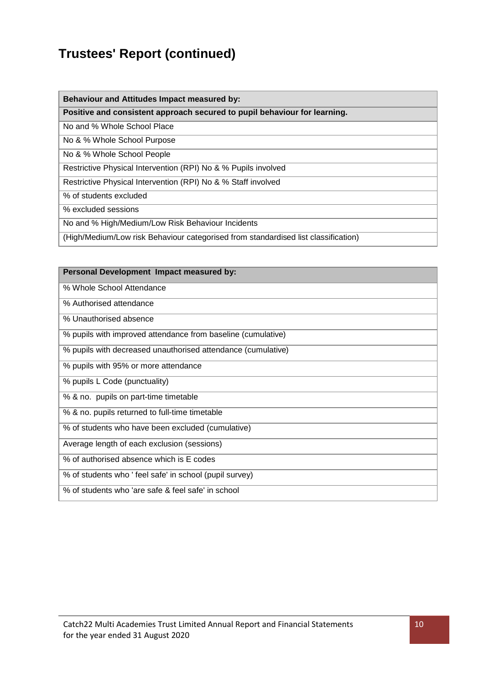**Behaviour and Attitudes Impact measured by:**

**Positive and consistent approach secured to pupil behaviour for learning.**

No and % Whole School Place

No & % Whole School Purpose

No & % Whole School People

Restrictive Physical Intervention (RPI) No & % Pupils involved

Restrictive Physical Intervention (RPI) No & % Staff involved

% of students excluded

% excluded sessions

No and % High/Medium/Low Risk Behaviour Incidents

(High/Medium/Low risk Behaviour categorised from standardised list classification)

### **Personal Development Impact measured by:**

% Whole School Attendance

% Authorised attendance

% Unauthorised absence

% pupils with improved attendance from baseline (cumulative)

% pupils with decreased unauthorised attendance (cumulative)

% pupils with 95% or more attendance

% pupils L Code (punctuality)

% & no. pupils on part-time timetable

% & no. pupils returned to full-time timetable

% of students who have been excluded (cumulative)

Average length of each exclusion (sessions)

% of authorised absence which is E codes

% of students who ' feel safe' in school (pupil survey)

% of students who 'are safe & feel safe' in school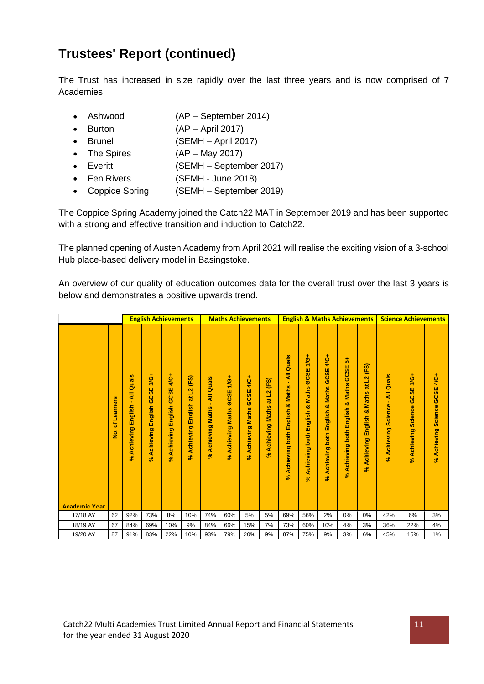The Trust has increased in size rapidly over the last three years and is now comprised of 7 Academies:

- Ashwood (AP September 2014)
- $\bullet$  Burton (AP April 2017)
- Brunel (SEMH April 2017)
- The Spires  $(AP May 2017)$
- Everitt (SEMH September 2017)
- Fen Rivers (SEMH June 2018)
- Coppice Spring (SEMH September 2019)

The Coppice Spring Academy joined the Catch22 MAT in September 2019 and has been supported with a strong and effective transition and induction to Catch22.

The planned opening of Austen Academy from April 2021 will realise the exciting vision of a 3-school Hub place-based delivery model in Basingstoke.

An overview of our quality of education outcomes data for the overall trust over the last 3 years is below and demonstrates a positive upwards trend.

|                      |                    |                                                | <b>English Achievements</b>                       |                                                              |                                                                      | <b>Maths Achievements</b>                          |                                                   |                                             | <b>English &amp; Maths Achievements</b> |                                                                                   |                                                                        |                                                                                  | <b>Science Achievements</b>                                                                                          |                                                                                                                     |                                                                             |                                  |                               |
|----------------------|--------------------|------------------------------------------------|---------------------------------------------------|--------------------------------------------------------------|----------------------------------------------------------------------|----------------------------------------------------|---------------------------------------------------|---------------------------------------------|-----------------------------------------|-----------------------------------------------------------------------------------|------------------------------------------------------------------------|----------------------------------------------------------------------------------|----------------------------------------------------------------------------------------------------------------------|---------------------------------------------------------------------------------------------------------------------|-----------------------------------------------------------------------------|----------------------------------|-------------------------------|
| <b>Academic Year</b> | Learners<br>ō<br>ş | Quals<br>₹<br>×.<br>English<br>Achieving<br>S. | $1/6+$<br>GCSE<br>English<br>Achieving<br>.<br>پي | ٠<br><u>ن</u><br>4<br>₩<br>မ္ထ<br>English<br>Achieving<br>٦Ś | (FS)<br>$\mathbf{\tilde{c}}$<br>┙<br>蒿<br>English<br>Achieving<br>۵Ś | Quals<br>₹<br>٠<br><b>Maths</b><br>Achieving<br>٦Ś | $1/6+$<br>GCSE<br><b>Maths</b><br>Achieving<br>٦Ś | 4/C+<br>GCSE<br><b>Maths</b><br>% Achieving | (FS)<br>at $L2$<br>% Achieving Maths    | <b>All Quals</b><br>×<br><b>Maths</b><br>οð<br>English<br>both<br>Achieving<br>۶Ś | $1/6+$<br>GCSE<br><b>Maths</b><br>οð<br>English<br>both<br>% Achieving | $rac{1}{4}$<br>GCSE<br><b>Maths</b><br>οő<br>z<br>Englisl<br>both<br>% Achieving | ٠<br>ιò<br>56<br>ပ<br>O<br>$\boldsymbol{\omega}$<br><b>Math</b><br>ಯ<br>English<br>both<br>Achieving<br>$\mathbf{S}$ | (FS)<br>$\mathbf{\alpha}$<br>ᆜ<br>嵩<br>w<br><b>Math:</b><br>οö<br>English<br>Achieving<br>$\mathbf{x}^{\mathsf{c}}$ | Quals<br>₹<br>٠<br><b>Science</b><br>Achieving<br>$\mathbf{x}^{\mathbf{c}}$ | Science GCSE 1/G+<br>% Achieving | % Achieving Science GCSE 4/C+ |
| 17/18 AY             | 62                 | 92%                                            | 73%                                               | 8%                                                           | 10%                                                                  | 74%                                                | 60%                                               | 5%                                          | 5%                                      | 69%                                                                               | 56%                                                                    | 2%                                                                               | 0%                                                                                                                   | 0%                                                                                                                  | 42%                                                                         | 6%                               | 3%                            |
| 18/19 AY             | 67                 | 84%                                            | 69%                                               | 10%                                                          | 9%                                                                   | 84%                                                | 66%                                               | 15%                                         | 7%                                      | 73%                                                                               | 60%                                                                    | 10%                                                                              | 4%                                                                                                                   | 3%                                                                                                                  | 36%                                                                         | 22%                              | 4%                            |
| 19/20 AY             | 87                 | 91%                                            | 83%                                               | 22%                                                          | 10%                                                                  | 93%                                                | 79%                                               | 20%                                         | 9%                                      | 87%                                                                               | 75%                                                                    | 9%                                                                               | 3%                                                                                                                   | 6%                                                                                                                  | 45%                                                                         | 15%                              | 1%                            |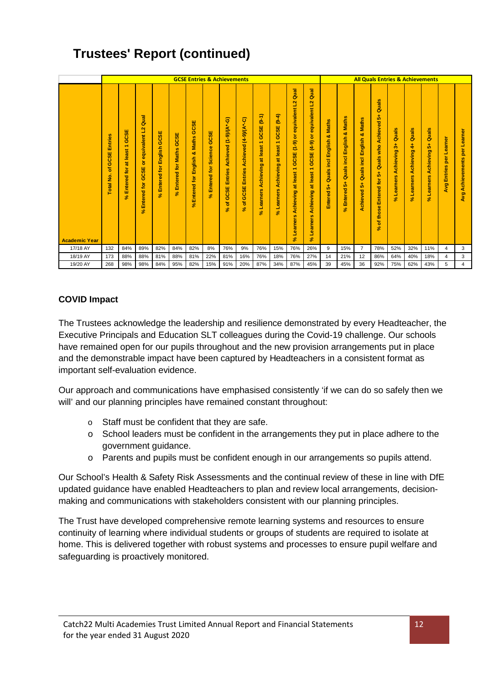|                      |                                                                                  |                                                                        |                                                                                                       |                                                             |                                                                               | <b>GCSE Entries &amp; Achievements</b>                                |                                                                          |                                                                          |                                                       |                                                                                        |                                                                                                     |                                                                                                                                                               |                                                                                                                                                                                       |                                                                       |                                                                                            |                                                                |                                                                                           | <b>All Quals Entries &amp; Achievements</b>         |                                                |                                                                  |                                                       |                                              |
|----------------------|----------------------------------------------------------------------------------|------------------------------------------------------------------------|-------------------------------------------------------------------------------------------------------|-------------------------------------------------------------|-------------------------------------------------------------------------------|-----------------------------------------------------------------------|--------------------------------------------------------------------------|--------------------------------------------------------------------------|-------------------------------------------------------|----------------------------------------------------------------------------------------|-----------------------------------------------------------------------------------------------------|---------------------------------------------------------------------------------------------------------------------------------------------------------------|---------------------------------------------------------------------------------------------------------------------------------------------------------------------------------------|-----------------------------------------------------------------------|--------------------------------------------------------------------------------------------|----------------------------------------------------------------|-------------------------------------------------------------------------------------------|-----------------------------------------------------|------------------------------------------------|------------------------------------------------------------------|-------------------------------------------------------|----------------------------------------------|
| <b>Academic Year</b> | $\boldsymbol{\omega}$<br>Entrie<br>ш<br>S<br>ပ<br>o<br>٥<br>$\circ$<br>Ź<br>otal | ö<br>Φ<br>$\overline{\phantom{0}}$<br>least<br>蒿<br>ē<br>Entered<br>S. | 層<br>σ<br>$\sim$<br>┙<br>equivalent<br>ъ.<br>$\circ$<br>ш<br>S<br>မ္ပ<br>$\sim$<br>₫<br>Entered<br>٦k | ш<br>w<br>ပ<br>ဖ<br>English<br>ē<br>Entered<br>$\mathbf{S}$ | ш<br>g<br>O<br><b>Maths</b><br>Įō<br>ъ<br>Entere<br>$\mathbf{x}^{\mathsf{c}}$ | GCSE<br><b>Maths</b><br>οð<br>English<br>b<br>Entered<br>$\mathbb{R}$ | ш<br>ø<br>ن<br>O<br><b>Science</b><br>$\mathbf{r}$<br>e<br>Entered<br>×, | $(9 - A)(6 - 1)$<br><b>Achieved</b><br><b>Entries</b><br>GCSE<br>৳<br>٦g | (3.49)(6.4)<br>Achieved<br>Entries<br>GCSE<br>৳<br>۵Ś | $(9-1)$<br>GCSE<br>$\overline{\phantom{0}}$<br>at least<br>Achieving<br>Learners<br>گچ | $\overline{4}$<br>GCSE<br>$\overline{ }$<br>least<br>制<br>Achieving<br>earners<br>ᆜ<br>$\mathbf{S}$ | Qual<br>₫<br>equivalent<br>$\overline{5}$<br>ெ<br>Σ<br>GCSE<br>$\blacksquare$<br>least<br>蒿<br>Achieving<br>$\boldsymbol{\omega}$<br>earner<br>$\mathbf{r}_6$ | $\overline{B}$<br>G<br>q<br>equivalent<br>$\overline{\sigma}$<br>$(4-9)$<br>GCSE<br>$\blacksquare$<br>least<br>蒿<br>Achieving<br>$\boldsymbol{\omega}$<br>earner<br>⊐<br>$\mathbf{S}$ | aths<br>ž<br>οö<br>English<br>ē<br>$\omega$<br>Ē<br>ø<br>訪<br>Entered | <b>Maths</b><br>οö<br>English<br>ē<br>uals<br>$\sigma$<br>٠<br>1Ò,<br><b>Entered</b><br>S. | <b>Maths</b><br>οö<br>English<br>eal<br>Quals<br>ф<br>Achieved | <u>dia</u><br>ā<br>齿<br>Achieved<br>who<br>Quals<br>击<br>ē<br>Entered<br>those<br>৳<br>۵Ś | <u>dis</u><br>σ<br>よ<br>Achieving<br>Learners<br>۵Ś | Quals<br>4<br>Achieving<br>Learners<br>گچ<br>ج | <u>di</u> s<br>σ<br>齿<br>Achieving<br>Learners<br>$\mathbb{R}^2$ | Learner<br><b>ber</b><br><b>Entries</b><br><b>Avg</b> | Learner<br>per<br><b>Achievements</b><br>Avg |
| 17/18 AY             | 132                                                                              | 84%                                                                    | 89%                                                                                                   | 82%                                                         | 84%                                                                           | 82%                                                                   | 8%                                                                       | 76%                                                                      | 9%                                                    | 76%                                                                                    | 15%                                                                                                 | 76%                                                                                                                                                           | 26%                                                                                                                                                                                   | 9                                                                     | 15%                                                                                        | $\overline{7}$                                                 | 78%                                                                                       | 52%                                                 | 32%                                            | 11%                                                              | 4                                                     | 3                                            |
| 18/19 AY             | 173                                                                              | 88%                                                                    | 88%                                                                                                   | 81%                                                         | 88%                                                                           | 81%                                                                   | 22%                                                                      | 81%                                                                      | 16%                                                   | 76%                                                                                    | 18%                                                                                                 | 76%                                                                                                                                                           | 27%                                                                                                                                                                                   | 14                                                                    | 21%                                                                                        | 12                                                             | 86%                                                                                       | 64%                                                 | 40%                                            | 18%                                                              | 4                                                     | 3                                            |
| 19/20 AY             | 268                                                                              | 98%                                                                    | 98%                                                                                                   | 84%                                                         | 95%                                                                           | 82%                                                                   | 15%                                                                      | 91%                                                                      | 20%                                                   | 87%                                                                                    | 34%                                                                                                 | 87%                                                                                                                                                           | 45%                                                                                                                                                                                   | 39                                                                    | 45%                                                                                        | 36                                                             | 92%                                                                                       | 75%                                                 | 62%                                            | 43%                                                              | 5                                                     | 4                                            |

## **COVID Impact**

The Trustees acknowledge the leadership and resilience demonstrated by every Headteacher, the Executive Principals and Education SLT colleagues during the Covid-19 challenge. Our schools have remained open for our pupils throughout and the new provision arrangements put in place and the demonstrable impact have been captured by Headteachers in a consistent format as important self-evaluation evidence.

Our approach and communications have emphasised consistently 'if we can do so safely then we will' and our planning principles have remained constant throughout:

- o Staff must be confident that they are safe.
- o School leaders must be confident in the arrangements they put in place adhere to the government guidance.
- o Parents and pupils must be confident enough in our arrangements so pupils attend.

Our School's Health & Safety Risk Assessments and the continual review of these in line with DfE updated guidance have enabled Headteachers to plan and review local arrangements, decisionmaking and communications with stakeholders consistent with our planning principles.

The Trust have developed comprehensive remote learning systems and resources to ensure continuity of learning where individual students or groups of students are required to isolate at home. This is delivered together with robust systems and processes to ensure pupil welfare and safeguarding is proactively monitored.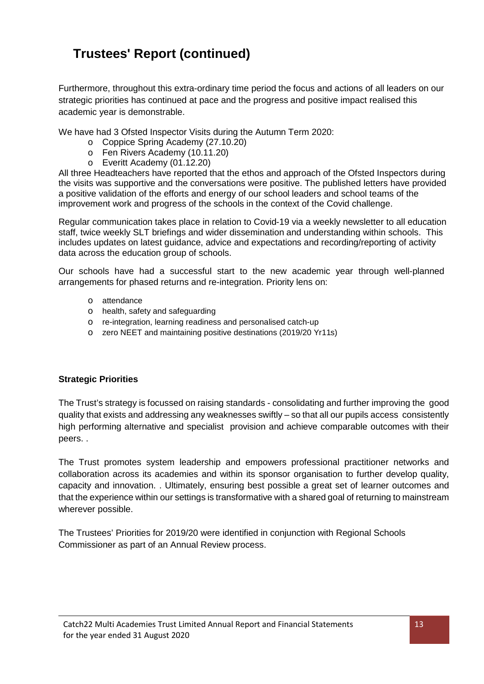Furthermore, throughout this extra-ordinary time period the focus and actions of all leaders on our strategic priorities has continued at pace and the progress and positive impact realised this academic year is demonstrable.

We have had 3 Ofsted Inspector Visits during the Autumn Term 2020:

- o Coppice Spring Academy (27.10.20)
- o Fen Rivers Academy (10.11.20)
- o Everitt Academy (01.12.20)

All three Headteachers have reported that the ethos and approach of the Ofsted Inspectors during the visits was supportive and the conversations were positive. The published letters have provided a positive validation of the efforts and energy of our school leaders and school teams of the improvement work and progress of the schools in the context of the Covid challenge.

Regular communication takes place in relation to Covid-19 via a weekly newsletter to all education staff, twice weekly SLT briefings and wider dissemination and understanding within schools. This includes updates on latest guidance, advice and expectations and recording/reporting of activity data across the education group of schools.

Our schools have had a successful start to the new academic year through well-planned arrangements for phased returns and re-integration. Priority lens on:

- o attendance
- o health, safety and safeguarding
- o re-integration, learning readiness and personalised catch-up
- o zero NEET and maintaining positive destinations (2019/20 Yr11s)

## **Strategic Priorities**

The Trust's strategy is focussed on raising standards - consolidating and further improving the good quality that exists and addressing any weaknesses swiftly – so that all our pupils access consistently high performing alternative and specialist provision and achieve comparable outcomes with their peers. .

The Trust promotes system leadership and empowers professional practitioner networks and collaboration across its academies and within its sponsor organisation to further develop quality, capacity and innovation. . Ultimately, ensuring best possible a great set of learner outcomes and that the experience within our settings is transformative with a shared goal of returning to mainstream wherever possible.

The Trustees' Priorities for 2019/20 were identified in conjunction with Regional Schools Commissioner as part of an Annual Review process.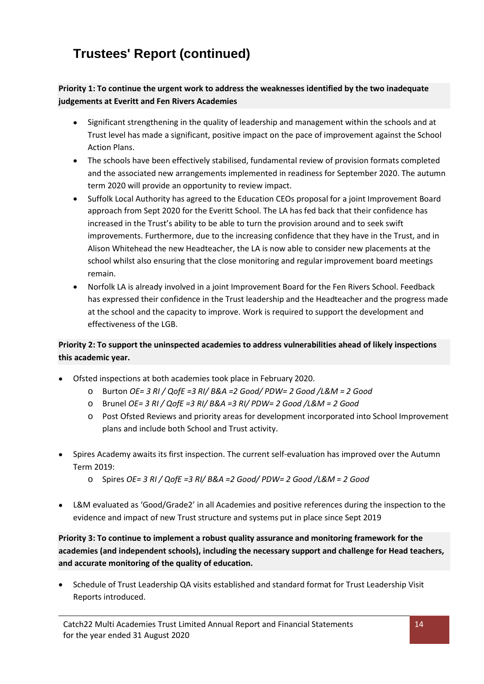## Priority 1: To continue the urgent work to address the weaknesses identified by the two inadequate judgements at Everitt and Fen Rivers Academies

- Significant strengthening in the quality of leadership and management within the schools and at Trust level has made a significant, positive impact on the pace of improvement against the School Action Plans.
- The schools have been effectively stabilised, fundamental review of provision formats completed and the associated new arrangements implemented in readiness for September 2020. The autumn term 2020 will provide an opportunity to review impact.
- Suffolk Local Authority has agreed to the Education CEOs proposal for a joint Improvement Board  $\bullet$ approach from Sept 2020 for the Everitt School. The LA has fed back that their confidence has increased in the Trust's ability to be able to turn the provision around and to seek swift improvements. Furthermore, due to the increasing confidence that they have in the Trust, and in Alison Whitehead the new Headteacher, the LA is now able to consider new placements at the school whilst also ensuring that the close monitoring and regular improvement board meetings remain.
- $\bullet$ Norfolk LA is already involved in a joint Improvement Board for the Fen Rivers School. Feedback has expressed their confidence in the Trust leadership and the Headteacher and the progress made at the school and the capacity to improve. Work is required to support the development and effectiveness of the LGB.

## Priority 2: To support the uninspected academies to address vulnerabilities ahead of likely inspections this academic year.

- Ofsted inspections at both academies took place in February 2020.
	- o Burton OE= 3 RI / QofE =3 RI/ B&A =2 Good/ PDW= 2 Good /L&M = 2 Good
	- o Brunel OE= 3 RI / QofE =3 RI/ B&A =3 RI/ PDW= 2 Good /L&M = 2 Good
	- o Post Ofsted Reviews and priority areas for development incorporated into School Improvement plans and include both School and Trust activity.
- Spires Academy awaits its first inspection. The current self-evaluation has improved over the Autumn Term 2019:
	- o Spires OE= 3 RI / QofE =3 RI/ B&A =2 Good/ PDW= 2 Good /L&M = 2 Good
- L&M evaluated as 'Good/Grade2' in all Academies and positive references during the inspection to the evidence and impact of new Trust structure and systems put in place since Sept 2019

Priority 3: To continue to implement a robust quality assurance and monitoring framework for the academies (and independent schools), including the necessary support and challenge for Head teachers, and accurate monitoring of the quality of education.

Schedule of Trust Leadership QA visits established and standard format for Trust Leadership Visit Reports introduced.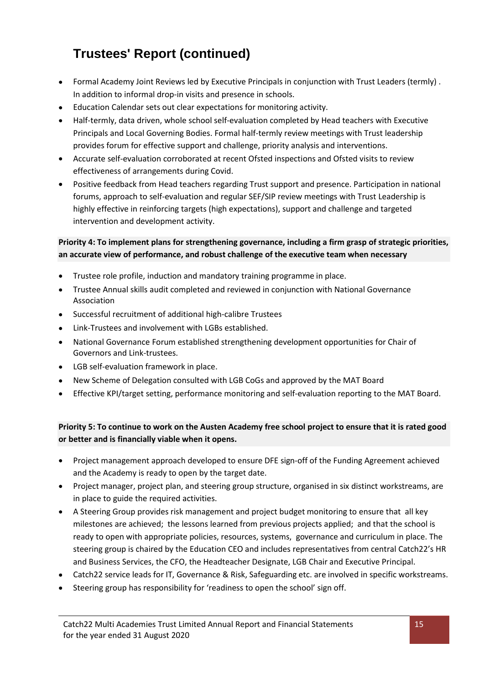- Formal Academy Joint Reviews led by Executive Principals in conjunction with Trust Leaders (termly) . In addition to informal drop-in visits and presence in schools.
- Education Calendar sets out clear expectations for monitoring activity.
- Half-termly, data driven, whole school self-evaluation completed by Head teachers with Executive Principals and Local Governing Bodies. Formal half-termly review meetings with Trust leadership provides forum for effective support and challenge, priority analysis and interventions.
- Accurate self-evaluation corroborated at recent Ofsted inspections and Ofsted visits to review effectiveness of arrangements during Covid.
- Positive feedback from Head teachers regarding Trust support and presence. Participation in national forums, approach to self-evaluation and regular SEF/SIP review meetings with Trust Leadership is highly effective in reinforcing targets (high expectations), support and challenge and targeted intervention and development activity.

## Priority 4: To implement plans for strengthening governance, including a firm grasp of strategic priorities, an accurate view of performance, and robust challenge of the executive team when necessary

- Trustee role profile, induction and mandatory training programme in place.
- Trustee Annual skills audit completed and reviewed in conjunction with National Governance Association
- Successful recruitment of additional high-calibre Trustees
- Link-Trustees and involvement with LGBs established.
- National Governance Forum established strengthening development opportunities for Chair of Governors and Link-trustees.
- LGB self-evaluation framework in place.
- New Scheme of Delegation consulted with LGB CoGs and approved by the MAT Board
- Effective KPI/target setting, performance monitoring and self-evaluation reporting to the MAT Board.

Priority 5: To continue to work on the Austen Academy free school project to ensure that it is rated good or better and is financially viable when it opens.

- Project management approach developed to ensure DFE sign-off of the Funding Agreement achieved and the Academy is ready to open by the target date.
- Project manager, project plan, and steering group structure, organised in six distinct workstreams, are in place to guide the required activities.
- A Steering Group provides risk management and project budget monitoring to ensure that all key milestones are achieved; the lessons learned from previous projects applied; and that the school is ready to open with appropriate policies, resources, systems, governance and curriculum in place. The steering group is chaired by the Education CEO and includes representatives from central Catch22's HR and Business Services, the CFO, the Headteacher Designate, LGB Chair and Executive Principal.
- Catch22 service leads for IT, Governance & Risk, Safeguarding etc. are involved in specific workstreams.
- Steering group has responsibility for 'readiness to open the school' sign off.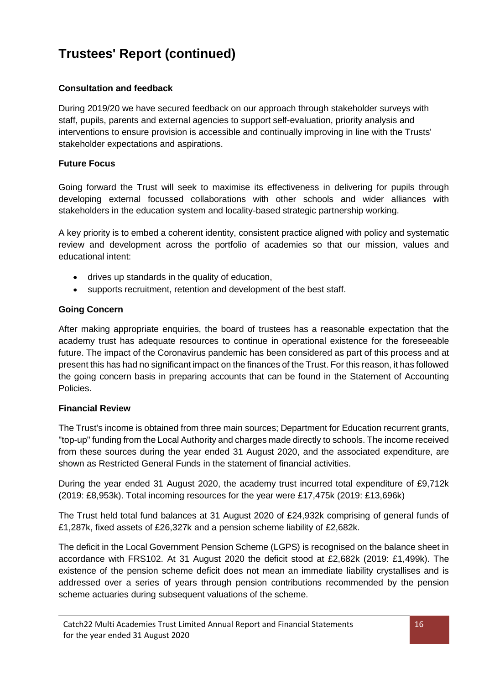## **Consultation and feedback**

During 2019/20 we have secured feedback on our approach through stakeholder surveys with staff, pupils, parents and external agencies to support self-evaluation, priority analysis and interventions to ensure provision is accessible and continually improving in line with the Trusts' stakeholder expectations and aspirations.

### **Future Focus**

Going forward the Trust will seek to maximise its effectiveness in delivering for pupils through developing external focussed collaborations with other schools and wider alliances with stakeholders in the education system and locality-based strategic partnership working.

A key priority is to embed a coherent identity, consistent practice aligned with policy and systematic review and development across the portfolio of academies so that our mission, values and educational intent:

- drives up standards in the quality of education,
- supports recruitment, retention and development of the best staff.

## **Going Concern**

After making appropriate enquiries, the board of trustees has a reasonable expectation that the academy trust has adequate resources to continue in operational existence for the foreseeable future. The impact of the Coronavirus pandemic has been considered as part of this process and at present this has had no significant impact on the finances of the Trust. For this reason, it has followed the going concern basis in preparing accounts that can be found in the Statement of Accounting Policies.

## **Financial Review**

The Trust's income is obtained from three main sources; Department for Education recurrent grants, "top-up" funding from the Local Authority and charges made directly to schools. The income received from these sources during the year ended 31 August 2020, and the associated expenditure, are shown as Restricted General Funds in the statement of financial activities.

During the year ended 31 August 2020, the academy trust incurred total expenditure of £9,712k (2019: £8,953k). Total incoming resources for the year were £17,475k (2019: £13,696k)

The Trust held total fund balances at 31 August 2020 of £24,932k comprising of general funds of £1,287k, fixed assets of £26,327k and a pension scheme liability of £2,682k.

The deficit in the Local Government Pension Scheme (LGPS) is recognised on the balance sheet in accordance with FRS102. At 31 August 2020 the deficit stood at £2,682k (2019: £1,499k). The existence of the pension scheme deficit does not mean an immediate liability crystallises and is addressed over a series of years through pension contributions recommended by the pension scheme actuaries during subsequent valuations of the scheme.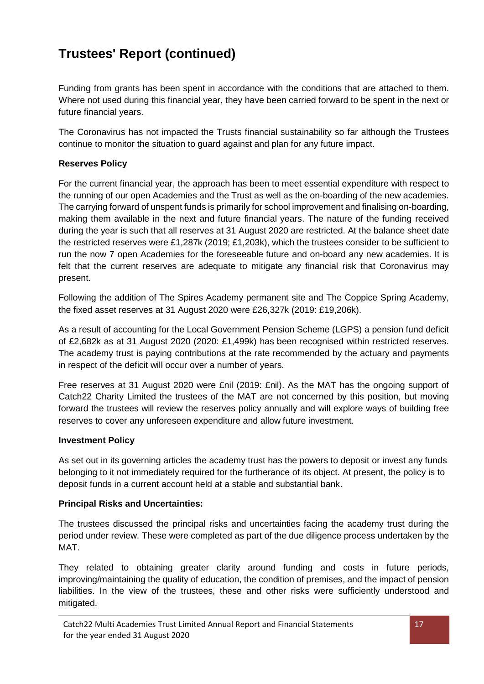Funding from grants has been spent in accordance with the conditions that are attached to them. Where not used during this financial year, they have been carried forward to be spent in the next or future financial years.

The Coronavirus has not impacted the Trusts financial sustainability so far although the Trustees continue to monitor the situation to guard against and plan for any future impact.

## **Reserves Policy**

For the current financial year, the approach has been to meet essential expenditure with respect to the running of our open Academies and the Trust as well as the on-boarding of the new academies. The carrying forward of unspent funds is primarily for school improvement and finalising on-boarding, making them available in the next and future financial years. The nature of the funding received during the year is such that all reserves at 31 August 2020 are restricted. At the balance sheet date the restricted reserves were £1,287k (2019; £1,203k), which the trustees consider to be sufficient to run the now 7 open Academies for the foreseeable future and on-board any new academies. It is felt that the current reserves are adequate to mitigate any financial risk that Coronavirus may present.

Following the addition of The Spires Academy permanent site and The Coppice Spring Academy, the fixed asset reserves at 31 August 2020 were £26,327k (2019: £19,206k).

As a result of accounting for the Local Government Pension Scheme (LGPS) a pension fund deficit of £2,682k as at 31 August 2020 (2020: £1,499k) has been recognised within restricted reserves. The academy trust is paying contributions at the rate recommended by the actuary and payments in respect of the deficit will occur over a number of years.

Free reserves at 31 August 2020 were £nil (2019: £nil). As the MAT has the ongoing support of Catch22 Charity Limited the trustees of the MAT are not concerned by this position, but moving forward the trustees will review the reserves policy annually and will explore ways of building free reserves to cover any unforeseen expenditure and allow future investment.

## **Investment Policy**

As set out in its governing articles the academy trust has the powers to deposit or invest any funds belonging to it not immediately required for the furtherance of its object. At present, the policy is to deposit funds in a current account held at a stable and substantial bank.

## **Principal Risks and Uncertainties:**

The trustees discussed the principal risks and uncertainties facing the academy trust during the period under review. These were completed as part of the due diligence process undertaken by the MAT.

They related to obtaining greater clarity around funding and costs in future periods, improving/maintaining the quality of education, the condition of premises, and the impact of pension liabilities. In the view of the trustees, these and other risks were sufficiently understood and mitigated.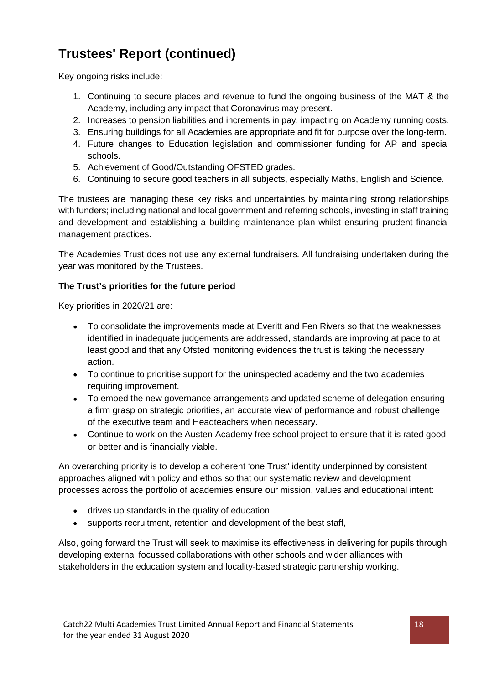Key ongoing risks include:

- 1. Continuing to secure places and revenue to fund the ongoing business of the MAT & the Academy, including any impact that Coronavirus may present.
- 2. Increases to pension liabilities and increments in pay, impacting on Academy running costs.
- 3. Ensuring buildings for all Academies are appropriate and fit for purpose over the long-term.
- 4. Future changes to Education legislation and commissioner funding for AP and special schools.
- 5. Achievement of Good/Outstanding OFSTED grades.
- 6. Continuing to secure good teachers in all subjects, especially Maths, English and Science.

The trustees are managing these key risks and uncertainties by maintaining strong relationships with funders; including national and local government and referring schools, investing in staff training and development and establishing a building maintenance plan whilst ensuring prudent financial management practices.

The Academies Trust does not use any external fundraisers. All fundraising undertaken during the year was monitored by the Trustees.

## **The Trust's priorities for the future period**

Key priorities in 2020/21 are:

- To consolidate the improvements made at Everitt and Fen Rivers so that the weaknesses  $\bullet$ identified in inadequate judgements are addressed, standards are improving at pace to at least good and that any Ofsted monitoring evidences the trust is taking the necessary action.
- To continue to prioritise support for the uninspected academy and the two academies requiring improvement.
- To embed the new governance arrangements and updated scheme of delegation ensuring a firm grasp on strategic priorities, an accurate view of performance and robust challenge of the executive team and Headteachers when necessary.
- Continue to work on the Austen Academy free school project to ensure that it is rated good or better and is financially viable.

An overarching priority is to develop a coherent 'one Trust' identity underpinned by consistent approaches aligned with policy and ethos so that our systematic review and development processes across the portfolio of academies ensure our mission, values and educational intent:

- drives up standards in the quality of education,
- supports recruitment, retention and development of the best staff,

Also, going forward the Trust will seek to maximise its effectiveness in delivering for pupils through developing external focussed collaborations with other schools and wider alliances with stakeholders in the education system and locality-based strategic partnership working.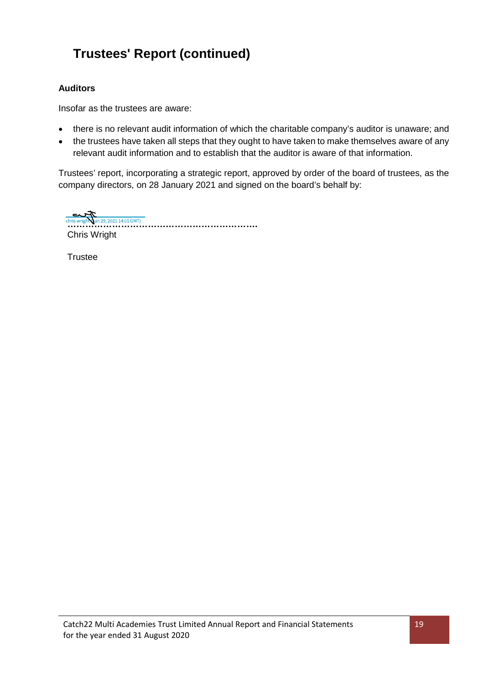## **Auditors**

Insofar as the trustees are aware:

- there is no relevant audit information of which the charitable company's auditor is unaware; and
- the trustees have taken all steps that they ought to have taken to make themselves aware of any relevant audit information and to establish that the auditor is aware of that information.

Trustees' report, incorporating a strategic report, approved by order of the board of trustees, as the company directors, on 28 January 2021 and signed on the board's behalf by:

**……………………………………………………….**

Chris Wright

**Trustee**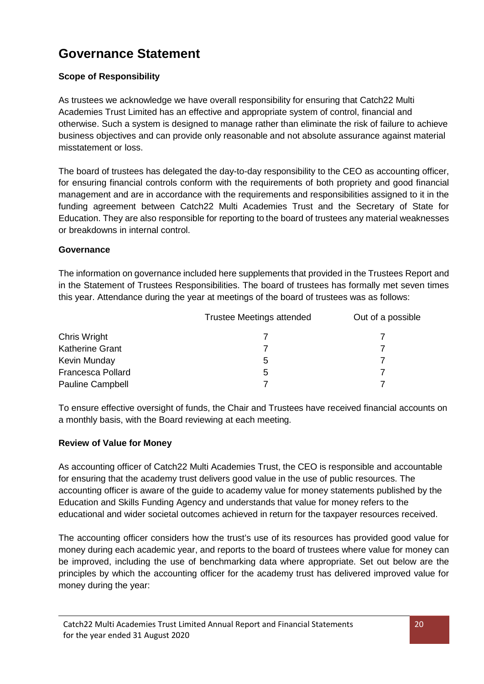# **Governance Statement**

## **Scope of Responsibility**

As trustees we acknowledge we have overall responsibility for ensuring that Catch22 Multi Academies Trust Limited has an effective and appropriate system of control, financial and otherwise. Such a system is designed to manage rather than eliminate the risk of failure to achieve business objectives and can provide only reasonable and not absolute assurance against material misstatement or loss.

The board of trustees has delegated the day-to-day responsibility to the CEO as accounting officer, for ensuring financial controls conform with the requirements of both propriety and good financial management and are in accordance with the requirements and responsibilities assigned to it in the funding agreement between Catch22 Multi Academies Trust and the Secretary of State for Education. They are also responsible for reporting to the board of trustees any material weaknesses or breakdowns in internal control.

## **Governance**

The information on governance included here supplements that provided in the Trustees Report and in the Statement of Trustees Responsibilities. The board of trustees has formally met seven times this year. Attendance during the year at meetings of the board of trustees was as follows:

|                         | <b>Trustee Meetings attended</b> | Out of a possible |  |  |
|-------------------------|----------------------------------|-------------------|--|--|
| Chris Wright            |                                  |                   |  |  |
| Katherine Grant         |                                  |                   |  |  |
| Kevin Munday            | 5                                |                   |  |  |
| Francesca Pollard       | 5                                |                   |  |  |
| <b>Pauline Campbell</b> |                                  |                   |  |  |

To ensure effective oversight of funds, the Chair and Trustees have received financial accounts on a monthly basis, with the Board reviewing at each meeting.

## **Review of Value for Money**

As accounting officer of Catch22 Multi Academies Trust, the CEO is responsible and accountable for ensuring that the academy trust delivers good value in the use of public resources. The accounting officer is aware of the guide to academy value for money statements published by the Education and Skills Funding Agency and understands that value for money refers to the educational and wider societal outcomes achieved in return for the taxpayer resources received.

The accounting officer considers how the trust's use of its resources has provided good value for money during each academic year, and reports to the board of trustees where value for money can be improved, including the use of benchmarking data where appropriate. Set out below are the principles by which the accounting officer for the academy trust has delivered improved value for money during the year: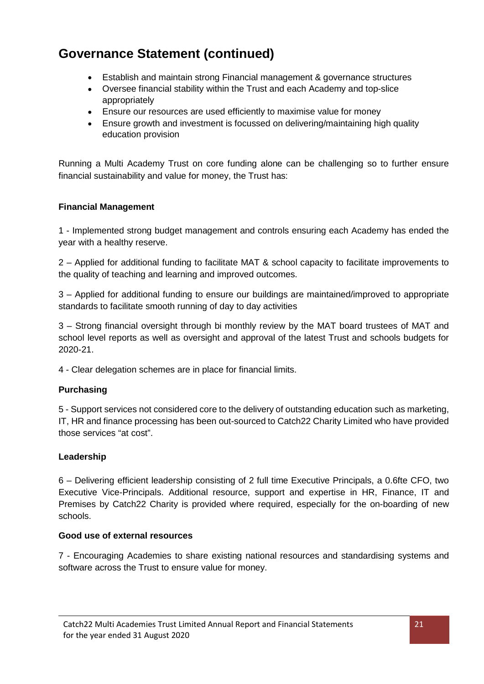# **Governance Statement (continued)**

- Establish and maintain strong Financial management & governance structures
- Oversee financial stability within the Trust and each Academy and top-slice appropriately
- Ensure our resources are used efficiently to maximise value for money
- Ensure growth and investment is focussed on delivering/maintaining high quality  $\bullet$ education provision

Running a Multi Academy Trust on core funding alone can be challenging so to further ensure financial sustainability and value for money, the Trust has:

## **Financial Management**

1 - Implemented strong budget management and controls ensuring each Academy has ended the year with a healthy reserve.

2 – Applied for additional funding to facilitate MAT & school capacity to facilitate improvements to the quality of teaching and learning and improved outcomes.

3 – Applied for additional funding to ensure our buildings are maintained/improved to appropriate standards to facilitate smooth running of day to day activities

3 – Strong financial oversight through bi monthly review by the MAT board trustees of MAT and school level reports as well as oversight and approval of the latest Trust and schools budgets for 2020-21.

4 - Clear delegation schemes are in place for financial limits.

## **Purchasing**

5 - Support services not considered core to the delivery of outstanding education such as marketing, IT, HR and finance processing has been out-sourced to Catch22 Charity Limited who have provided those services "at cost".

## **Leadership**

6 – Delivering efficient leadership consisting of 2 full time Executive Principals, a 0.6fte CFO, two Executive Vice-Principals. Additional resource, support and expertise in HR, Finance, IT and Premises by Catch22 Charity is provided where required, especially for the on-boarding of new schools.

## **Good use of external resources**

7 - Encouraging Academies to share existing national resources and standardising systems and software across the Trust to ensure value for money.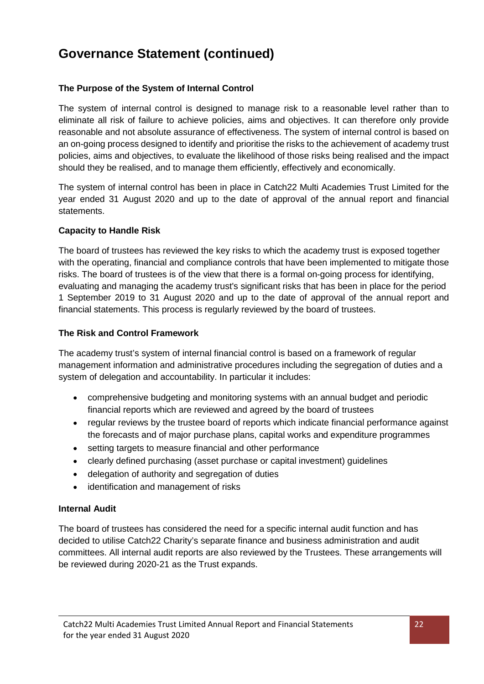# **Governance Statement (continued)**

## **The Purpose of the System of Internal Control**

The system of internal control is designed to manage risk to a reasonable level rather than to eliminate all risk of failure to achieve policies, aims and objectives. It can therefore only provide reasonable and not absolute assurance of effectiveness. The system of internal control is based on an on-going process designed to identify and prioritise the risks to the achievement of academy trust policies, aims and objectives, to evaluate the likelihood of those risks being realised and the impact should they be realised, and to manage them efficiently, effectively and economically.

The system of internal control has been in place in Catch22 Multi Academies Trust Limited for the year ended 31 August 2020 and up to the date of approval of the annual report and financial statements.

## **Capacity to Handle Risk**

The board of trustees has reviewed the key risks to which the academy trust is exposed together with the operating, financial and compliance controls that have been implemented to mitigate those risks. The board of trustees is of the view that there is a formal on-going process for identifying, evaluating and managing the academy trust's significant risks that has been in place for the period 1 September 2019 to 31 August 2020 and up to the date of approval of the annual report and financial statements. This process is regularly reviewed by the board of trustees.

## **The Risk and Control Framework**

The academy trust's system of internal financial control is based on a framework of regular management information and administrative procedures including the segregation of duties and a system of delegation and accountability. In particular it includes:

- comprehensive budgeting and monitoring systems with an annual budget and periodic  $\bullet$ financial reports which are reviewed and agreed by the board of trustees
- regular reviews by the trustee board of reports which indicate financial performance against  $\bullet$ the forecasts and of major purchase plans, capital works and expenditure programmes
- setting targets to measure financial and other performance  $\bullet$
- clearly defined purchasing (asset purchase or capital investment) guidelines  $\bullet$
- delegation of authority and segregation of duties
- identification and management of risks  $\bullet$

## **Internal Audit**

The board of trustees has considered the need for a specific internal audit function and has decided to utilise Catch22 Charity's separate finance and business administration and audit committees. All internal audit reports are also reviewed by the Trustees. These arrangements will be reviewed during 2020-21 as the Trust expands.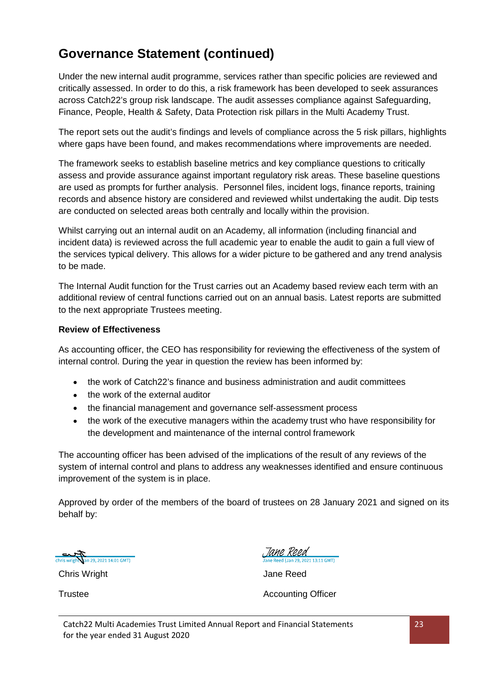# **Governance Statement (continued)**

Under the new internal audit programme, services rather than specific policies are reviewed and critically assessed. In order to do this, a risk framework has been developed to seek assurances across Catch22's group risk landscape. The audit assesses compliance against Safeguarding, Finance, People, Health & Safety, Data Protection risk pillars in the Multi Academy Trust.

The report sets out the audit's findings and levels of compliance across the 5 risk pillars, highlights where gaps have been found, and makes recommendations where improvements are needed.

The framework seeks to establish baseline metrics and key compliance questions to critically assess and provide assurance against important regulatory risk areas. These baseline questions are used as prompts for further analysis. Personnel files, incident logs, finance reports, training records and absence history are considered and reviewed whilst undertaking the audit. Dip tests are conducted on selected areas both centrally and locally within the provision.

Whilst carrying out an internal audit on an Academy, all information (including financial and incident data) is reviewed across the full academic year to enable the audit to gain a full view of the services typical delivery. This allows for a wider picture to be gathered and any trend analysis to be made.

The Internal Audit function for the Trust carries out an Academy based review each term with an additional review of central functions carried out on an annual basis. Latest reports are submitted to the next appropriate Trustees meeting.

## **Review of Effectiveness**

As accounting officer, the CEO has responsibility for reviewing the effectiveness of the system of internal control. During the year in question the review has been informed by:

- the work of Catch22's finance and business administration and audit committees
- the work of the external auditor
- the financial management and governance self-assessment process
- the work of the executive managers within the academy trust who have responsibility for  $\bullet$ the development and maintenance of the internal control framework

The accounting officer has been advised of the implications of the result of any reviews of the system of internal control and plans to address any weaknesses identified and ensure continuous improvement of the system is in place.

Approved by order of the members of the board of trustees on 28 January 2021 and signed on its behalf by:

**N**<br>10 an 29, 2021 14:01 GMT)

**Chris Wright Chris Wright Chris Wright Chris Wright Chris Chris Chris Chris Chris Chris Chris Chris Chris Chris Chris Chris Chris Chris Chris Chris Chris Chris Chris Chris Chris Chris Chris Chris Chris Chris Chris Chris C** 

Jane Reed .<br>21.13:11 GMT)

## Trustee Accounting Officer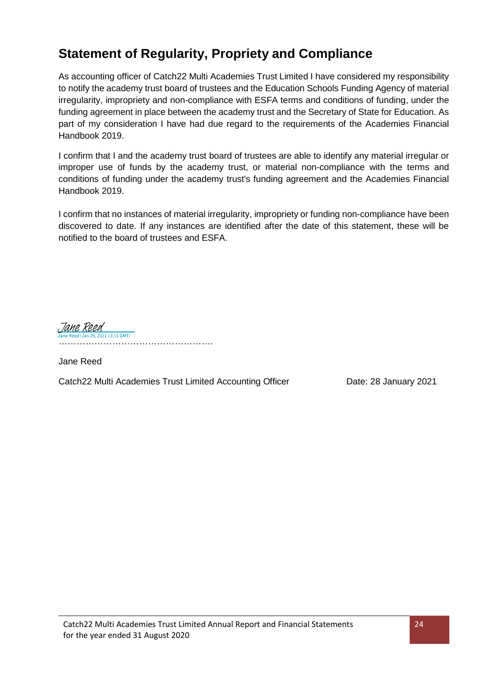# **Statement of Regularity, Propriety and Compliance**

As accounting officer of Catch22 Multi Academies Trust Limited I have considered my responsibility to notify the academy trust board of trustees and the Education Schools Funding Agency of material irregularity, impropriety and non-compliance with ESFA terms and conditions of funding, under the funding agreement in place between the academy trust and the Secretary of State for Education. As part of my consideration I have had due regard to the requirements of the Academies Financial Handbook 2019.

I confirm that I and the academy trust board of trustees are able to identify any material irregular or improper use of funds by the academy trust, or material non-compliance with the terms and conditions of funding under the academy trust's funding agreement and the Academies Financial Handbook 2019.

I confirm that no instances of material irregularity, impropriety or funding non-compliance have been discovered to date. If any instances are identified after the date of this statement, these will be notified to the board of trustees and ESFA.

 $\frac{1}{29,202113:11 \text{ GMT}}$ 

Jane Reed Catch22 Multi Academies Trust Limited Accounting Officer Date: 28 January 2021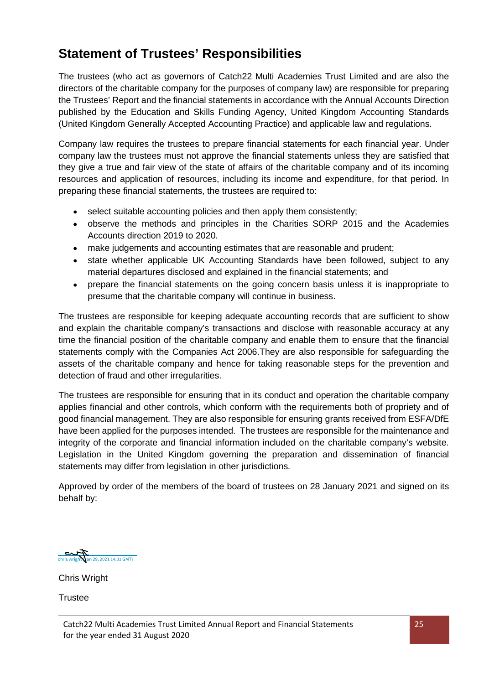# **Statement of Trustees' Responsibilities**

The trustees (who act as governors of Catch22 Multi Academies Trust Limited and are also the directors of the charitable company for the purposes of company law) are responsible for preparing the Trustees' Report and the financial statements in accordance with the Annual Accounts Direction published by the Education and Skills Funding Agency, United Kingdom Accounting Standards (United Kingdom Generally Accepted Accounting Practice) and applicable law and regulations.

Company law requires the trustees to prepare financial statements for each financial year. Under company law the trustees must not approve the financial statements unless they are satisfied that they give a true and fair view of the state of affairs of the charitable company and of its incoming resources and application of resources, including its income and expenditure, for that period. In preparing these financial statements, the trustees are required to:

- select suitable accounting policies and then apply them consistently;
- observe the methods and principles in the Charities SORP 2015 and the Academies Accounts direction 2019 to 2020.
- make judgements and accounting estimates that are reasonable and prudent;
- state whether applicable UK Accounting Standards have been followed, subject to any  $\bullet$ material departures disclosed and explained in the financial statements; and
- prepare the financial statements on the going concern basis unless it is inappropriate to  $\bullet$ presume that the charitable company will continue in business.

The trustees are responsible for keeping adequate accounting records that are sufficient to show and explain the charitable company's transactions and disclose with reasonable accuracy at any time the financial position of the charitable company and enable them to ensure that the financial statements comply with the Companies Act 2006.They are also responsible for safeguarding the assets of the charitable company and hence for taking reasonable steps for the prevention and detection of fraud and other irregularities.

The trustees are responsible for ensuring that in its conduct and operation the charitable company applies financial and other controls, which conform with the requirements both of propriety and of good financial management. They are also responsible for ensuring grants received from ESFA/DfE have been applied for the purposes intended. The trustees are responsible for the maintenance and integrity of the corporate and financial information included on the charitable company's website. Legislation in the United Kingdom governing the preparation and dissemination of financial statements may differ from legislation in other jurisdictions.

Approved by order of the members of the board of trustees on 28 January 2021 and signed on its behalf by:

.<br>in 29. 2021 14:01 GMT)

Chris Wright

**Trustee**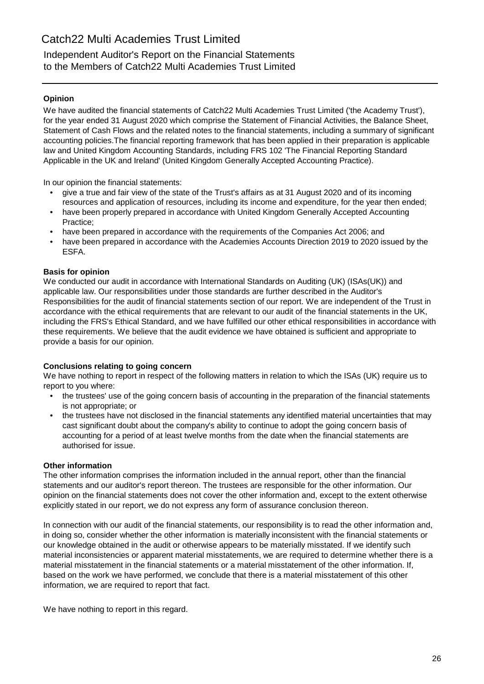## Independent Auditor's Report on the Financial Statements to the Members of Catch22 Multi Academies Trust Limited

### **Opinion**

We have audited the financial statements of Catch22 Multi Academies Trust Limited ('the Academy Trust'), for the year ended 31 August 2020 which comprise the Statement of Financial Activities, the Balance Sheet, Statement of Cash Flows and the related notes to the financial statements, including a summary of significant accounting policies.The financial reporting framework that has been applied in their preparation is applicable law and United Kingdom Accounting Standards, including FRS 102 'The Financial Reporting Standard Applicable in the UK and Ireland' (United Kingdom Generally Accepted Accounting Practice).

In our opinion the financial statements:

- give a true and fair view of the state of the Trust's affairs as at 31 August 2020 and of its incoming resources and application of resources, including its income and expenditure, for the year then ended;
- have been properly prepared in accordance with United Kingdom Generally Accepted Accounting Practice;
- have been prepared in accordance with the requirements of the Companies Act 2006; and
- have been prepared in accordance with the Academies Accounts Direction 2019 to 2020 issued by the ESFA.

### **Basis for opinion**

We conducted our audit in accordance with International Standards on Auditing (UK) (ISAs(UK)) and applicable law. Our responsibilities under those standards are further described in the Auditor's Responsibilities for the audit of financial statements section of our report. We are independent of the Trust in accordance with the ethical requirements that are relevant to our audit of the financial statements in the UK, including the FRS's Ethical Standard, and we have fulfilled our other ethical responsibilities in accordance with these requirements. We believe that the audit evidence we have obtained is sufficient and appropriate to provide a basis for our opinion.

#### **Conclusions relating to going concern**

We have nothing to report in respect of the following matters in relation to which the ISAs (UK) require us to report to you where:

- the trustees' use of the going concern basis of accounting in the preparation of the financial statements is not appropriate; or
- the trustees have not disclosed in the financial statements any identified material uncertainties that may cast significant doubt about the company's ability to continue to adopt the going concern basis of accounting for a period of at least twelve months from the date when the financial statements are authorised for issue.

#### **Other information**

The other information comprises the information included in the annual report, other than the financial statements and our auditor's report thereon. The trustees are responsible for the other information. Our opinion on the financial statements does not cover the other information and, except to the extent otherwise explicitly stated in our report, we do not express any form of assurance conclusion thereon.

In connection with our audit of the financial statements, our responsibility is to read the other information and, in doing so, consider whether the other information is materially inconsistent with the financial statements or our knowledge obtained in the audit or otherwise appears to be materially misstated. If we identify such material inconsistencies or apparent material misstatements, we are required to determine whether there is a material misstatement in the financial statements or a material misstatement of the other information. If, based on the work we have performed, we conclude that there is a material misstatement of this other information, we are required to report that fact.

We have nothing to report in this regard.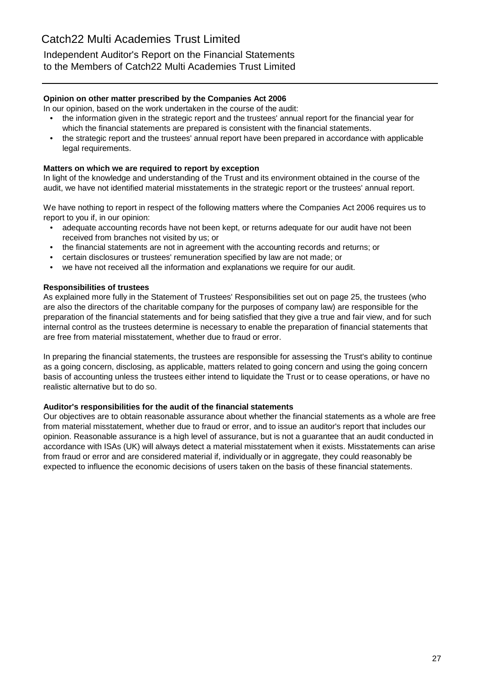Independent Auditor's Report on the Financial Statements to the Members of Catch22 Multi Academies Trust Limited

#### **Opinion on other matter prescribed by the Companies Act 2006**

In our opinion, based on the work undertaken in the course of the audit:

- the information given in the strategic report and the trustees' annual report for the financial year for which the financial statements are prepared is consistent with the financial statements.
- the strategic report and the trustees' annual report have been prepared in accordance with applicable legal requirements.

### **Matters on which we are required to report by exception**

In light of the knowledge and understanding of the Trust and its environment obtained in the course of the audit, we have not identified material misstatements in the strategic report or the trustees' annual report.

We have nothing to report in respect of the following matters where the Companies Act 2006 requires us to report to you if, in our opinion:

- adequate accounting records have not been kept, or returns adequate for our audit have not been received from branches not visited by us; or
- the financial statements are not in agreement with the accounting records and returns; or
- certain disclosures or trustees' remuneration specified by law are not made; or
- we have not received all the information and explanations we require for our audit.

#### **Responsibilities of trustees**

As explained more fully in the Statement of Trustees' Responsibilities set out on page 25, the trustees (who are also the directors of the charitable company for the purposes of company law) are responsible for the preparation of the financial statements and for being satisfied that they give a true and fair view, and for such internal control as the trustees determine is necessary to enable the preparation of financial statements that are free from material misstatement, whether due to fraud or error.

In preparing the financial statements, the trustees are responsible for assessing the Trust's ability to continue as a going concern, disclosing, as applicable, matters related to going concern and using the going concern basis of accounting unless the trustees either intend to liquidate the Trust or to cease operations, or have no realistic alternative but to do so.

#### **Auditor's responsibilities for the audit of the financial statements**

Our objectives are to obtain reasonable assurance about whether the financial statements as a whole are free from material misstatement, whether due to fraud or error, and to issue an auditor's report that includes our opinion. Reasonable assurance is a high level of assurance, but is not a guarantee that an audit conducted in accordance with ISAs (UK) will always detect a material misstatement when it exists. Misstatements can arise from fraud or error and are considered material if, individually or in aggregate, they could reasonably be expected to influence the economic decisions of users taken on the basis of these financial statements.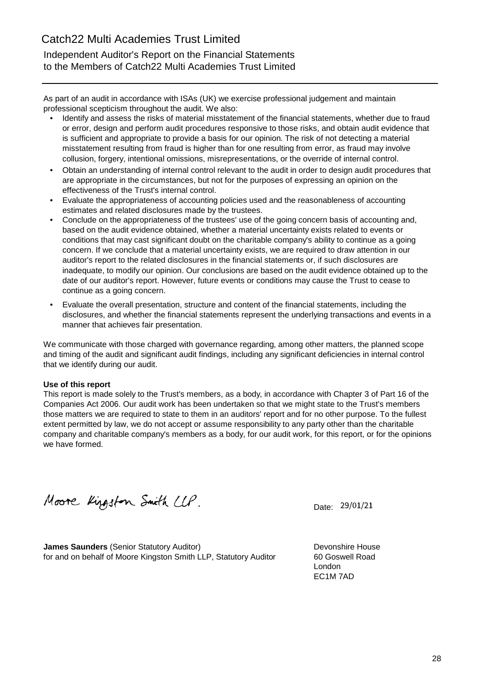## Independent Auditor's Report on the Financial Statements to the Members of Catch22 Multi Academies Trust Limited

As part of an audit in accordance with ISAs (UK) we exercise professional judgement and maintain professional scepticism throughout the audit. We also:

- Identify and assess the risks of material misstatement of the financial statements, whether due to fraud or error, design and perform audit procedures responsive to those risks, and obtain audit evidence that is sufficient and appropriate to provide a basis for our opinion. The risk of not detecting a material misstatement resulting from fraud is higher than for one resulting from error, as fraud may involve collusion, forgery, intentional omissions, misrepresentations, or the override of internal control.
- Obtain an understanding of internal control relevant to the audit in order to design audit procedures that are appropriate in the circumstances, but not for the purposes of expressing an opinion on the effectiveness of the Trust's internal control.
- Evaluate the appropriateness of accounting policies used and the reasonableness of accounting estimates and related disclosures made by the trustees.
- Conclude on the appropriateness of the trustees' use of the going concern basis of accounting and, based on the audit evidence obtained, whether a material uncertainty exists related to events or conditions that may cast significant doubt on the charitable company's ability to continue as a going concern. If we conclude that a material uncertainty exists, we are required to draw attention in our auditor's report to the related disclosures in the financial statements or, if such disclosures are inadequate, to modify our opinion. Our conclusions are based on the audit evidence obtained up to the date of our auditor's report. However, future events or conditions may cause the Trust to cease to continue as a going concern.
- Evaluate the overall presentation, structure and content of the financial statements, including the disclosures, and whether the financial statements represent the underlying transactions and events in a manner that achieves fair presentation.

We communicate with those charged with governance regarding, among other matters, the planned scope and timing of the audit and significant audit findings, including any significant deficiencies in internal control that we identify during our audit.

#### **Use of this report**

This report is made solely to the Trust's members, as a body, in accordance with Chapter 3 of Part 16 of the Companies Act 2006. Our audit work has been undertaken so that we might state to the Trust's members those matters we are required to state to them in an auditors' report and for no other purpose. To the fullest extent permitted by law, we do not accept or assume responsibility to any party other than the charitable company and charitable company's members as a body, for our audit work, for this report, or for the opinions we have formed.

Moore Kingston Smith CLP.

Date: 29/01/21

**James Saunders** (Senior Statutory Auditor) **Devonshire House** Devonshire House for and on behalf of Moore Kingston Smith LLP, Statutory Auditor 60 Goswell Road

London EC1M 7AD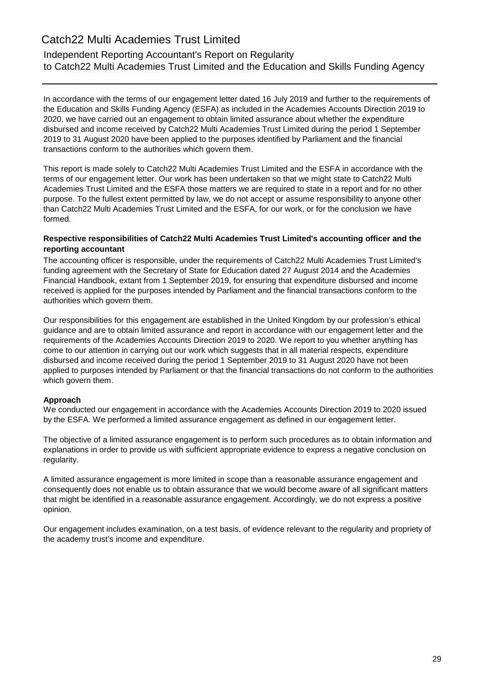## Independent Reporting Accountant's Report on Regularity to Catch22 Multi Academies Trust Limited and the Education and Skills Funding Agency

In accordance with the terms of our engagement letter dated 16 July 2019 and further to the requirements of the Education and Skills Funding Agency (ESFA) as included in the Academies Accounts Direction 2019 to 2020, we have carried out an engagement to obtain limited assurance about whether the expenditure disbursed and income received by Catch22 Multi Academies Trust Limited during the period 1 September 2019 to 31 August 2020 have been applied to the purposes identified by Parliament and the financial transactions conform to the authorities which govern them.

This report is made solely to Catch22 Multi Academies Trust Limited and the ESFA in accordance with the terms of our engagement letter. Our work has been undertaken so that we might state to Catch22 Multi Academies Trust Limited and the ESFA those matters we are required to state in a report and for no other purpose. To the fullest extent permitted by law, we do not accept or assume responsibility to anyone other than Catch22 Multi Academies Trust Limited and the ESFA, for our work, or for the conclusion we have formed.

#### **Respective responsibilities of Catch22 Multi Academies Trust Limited's accounting officer and the reporting accountant**

The accounting officer is responsible, under the requirements of Catch22 Multi Academies Trust Limited's funding agreement with the Secretary of State for Education dated 27 August 2014 and the Academies Financial Handbook, extant from 1 September 2019, for ensuring that expenditure disbursed and income received is applied for the purposes intended by Parliament and the financial transactions conform to the authorities which govern them.

Our responsibilities for this engagement are established in the United Kingdom by our profession's ethical guidance and are to obtain limited assurance and report in accordance with our engagement letter and the requirements of the Academies Accounts Direction 2019 to 2020. We report to you whether anything has come to our attention in carrying out our work which suggests that in all material respects, expenditure disbursed and income received during the period 1 September 2019 to 31 August 2020 have not been applied to purposes intended by Parliament or that the financial transactions do not conform to the authorities which govern them.

#### **Approach**

We conducted our engagement in accordance with the Academies Accounts Direction 2019 to 2020 issued by the ESFA. We performed a limited assurance engagement as defined in our engagement letter.

The objective of a limited assurance engagement is to perform such procedures as to obtain information and explanations in order to provide us with sufficient appropriate evidence to express a negative conclusion on regularity.

A limited assurance engagement is more limited in scope than a reasonable assurance engagement and consequently does not enable us to obtain assurance that we would become aware of all significant matters that might be identified in a reasonable assurance engagement. Accordingly, we do not express a positive opinion.

Our engagement includes examination, on a test basis, of evidence relevant to the regularity and propriety of the academy trust's income and expenditure.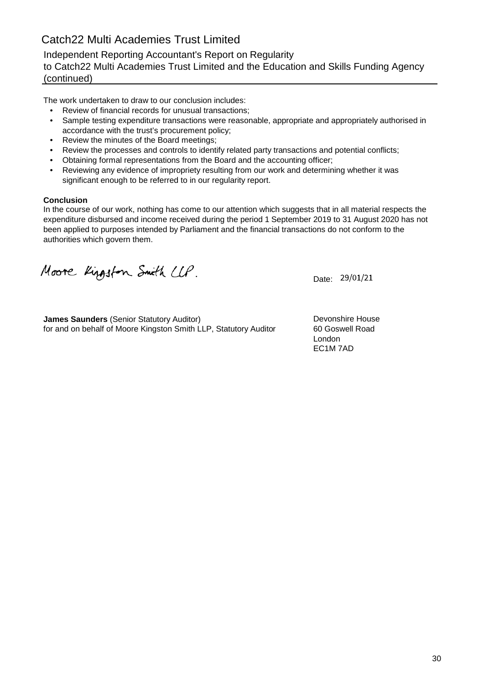Independent Reporting Accountant's Report on Regularity

to Catch22 Multi Academies Trust Limited and the Education and Skills Funding Agency (continued)

The work undertaken to draw to our conclusion includes:

- Review of financial records for unusual transactions;
- Sample testing expenditure transactions were reasonable, appropriate and appropriately authorised in accordance with the trust's procurement policy;
- Review the minutes of the Board meetings;
- Review the processes and controls to identify related party transactions and potential conflicts;
- Obtaining formal representations from the Board and the accounting officer;
- Reviewing any evidence of impropriety resulting from our work and determining whether it was significant enough to be referred to in our regularity report.

#### **Conclusion**

In the course of our work, nothing has come to our attention which suggests that in all material respects the expenditure disbursed and income received during the period 1 September 2019 to 31 August 2020 has not been applied to purposes intended by Parliament and the financial transactions do not conform to the authorities which govern them.

Moore Kingston Smith LLP.

Date: 29/01/21

**James Saunders** (Senior Statutory Auditor) **Devonshire House** Devonshire House for and on behalf of Moore Kingston Smith LLP, Statutory Auditor 60 Goswell Road

London EC1M 7AD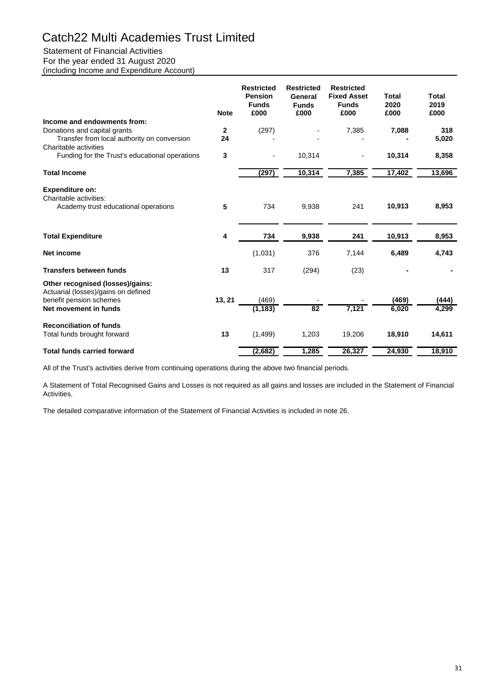Statement of Financial Activities

For the year ended 31 August 2020

(including Income and Expenditure Account)

|                                                                         | <b>Note</b> | <b>Restricted</b><br><b>Pension</b><br><b>Funds</b><br>£000 | <b>Restricted</b><br>General<br><b>Funds</b><br>£000 | <b>Restricted</b><br><b>Fixed Asset</b><br><b>Funds</b><br>£000 | <b>Total</b><br>2020<br>£000 | <b>Total</b><br>2019<br>£000 |
|-------------------------------------------------------------------------|-------------|-------------------------------------------------------------|------------------------------------------------------|-----------------------------------------------------------------|------------------------------|------------------------------|
| Income and endowments from:                                             |             |                                                             |                                                      |                                                                 |                              |                              |
| Donations and capital grants                                            | 2           | (297)                                                       |                                                      | 7,385                                                           | 7,088                        | 318                          |
| Transfer from local authority on conversion<br>Charitable activities    | 24          |                                                             |                                                      |                                                                 |                              | 5,020                        |
| Funding for the Trust's educational operations                          | 3           |                                                             | 10,314                                               |                                                                 | 10,314                       | 8,358                        |
| <b>Total Income</b>                                                     |             | (297)                                                       | 10,314                                               | 7,385                                                           | 17,402                       | 13,696                       |
| <b>Expenditure on:</b>                                                  |             |                                                             |                                                      |                                                                 |                              |                              |
| Charitable activities:                                                  |             |                                                             |                                                      |                                                                 |                              |                              |
| Academy trust educational operations                                    | 5           | 734                                                         | 9,938                                                | 241                                                             | 10,913                       | 8,953                        |
|                                                                         |             |                                                             |                                                      |                                                                 |                              |                              |
| <b>Total Expenditure</b>                                                | 4           | 734                                                         | 9,938                                                | 241                                                             | 10,913                       | 8,953                        |
| Net income                                                              |             | (1,031)                                                     | 376                                                  | 7,144                                                           | 6,489                        | 4,743                        |
| <b>Transfers between funds</b>                                          | 13          | 317                                                         | (294)                                                | (23)                                                            |                              |                              |
| Other recognised (losses)/gains:<br>Actuarial (losses)/gains on defined |             |                                                             |                                                      |                                                                 |                              |                              |
| benefit pension schemes                                                 | 13, 21      | (469)                                                       |                                                      |                                                                 | (469)                        | (444)                        |
| Net movement in funds                                                   |             | (1, 183)                                                    | 82                                                   | 7,121                                                           | 6,020                        | 4,299                        |
| <b>Reconciliation of funds</b>                                          |             |                                                             |                                                      |                                                                 |                              |                              |
| Total funds brought forward                                             | 13          | (1,499)                                                     | 1,203                                                | 19,206                                                          | 18,910                       | 14,611                       |
| <b>Total funds carried forward</b>                                      |             | (2,682)                                                     | 1,285                                                | 26,327                                                          | 24,930                       | 18,910                       |

All of the Trust's activities derive from continuing operations during the above two financial periods.

A Statement of Total Recognised Gains and Losses is not required as all gains and losses are included in the Statement of Financial Activities.

The detailed comparative information of the Statement of Financial Activities is included in note 26.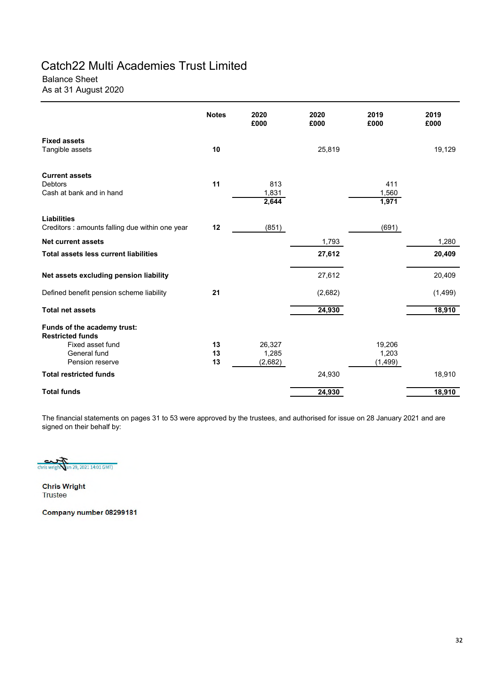### Balance Sheet As at 31 August 2020

|                                                 | <b>Notes</b> | 2020<br>£000     | 2020<br>£000 | 2019<br>£000      | 2019<br>£000 |
|-------------------------------------------------|--------------|------------------|--------------|-------------------|--------------|
| <b>Fixed assets</b>                             |              |                  |              |                   |              |
| Tangible assets                                 | 10           |                  | 25,819       |                   | 19,129       |
| <b>Current assets</b>                           |              |                  |              |                   |              |
| <b>Debtors</b>                                  | 11           | 813              |              | 411               |              |
| Cash at bank and in hand                        |              | 1,831<br>2,644   |              | 1,560<br>1,971    |              |
| <b>Liabilities</b>                              |              |                  |              |                   |              |
| Creditors : amounts falling due within one year | 12           | (851)            |              | (691)             |              |
| <b>Net current assets</b>                       |              |                  | 1,793        |                   | 1,280        |
| <b>Total assets less current liabilities</b>    |              |                  | 27,612       |                   | 20,409       |
| Net assets excluding pension liability          |              |                  | 27,612       |                   | 20,409       |
| Defined benefit pension scheme liability        | 21           |                  | (2,682)      |                   | (1,499)      |
| <b>Total net assets</b>                         |              |                  | 24,930       |                   | 18,910       |
| Funds of the academy trust:                     |              |                  |              |                   |              |
| <b>Restricted funds</b>                         |              |                  |              |                   |              |
| Fixed asset fund                                | 13           | 26,327           |              | 19,206            |              |
| General fund<br>Pension reserve                 | 13<br>13     | 1,285<br>(2,682) |              | 1,203<br>(1, 499) |              |
| <b>Total restricted funds</b>                   |              |                  | 24,930       |                   | 18,910       |
| <b>Total funds</b>                              |              |                  | 24,930       |                   | 18,910       |
|                                                 |              |                  |              |                   |              |

The financial statements on pages 31 to 53 were approved by the trustees, and authorised for issue on 28 January 2021 and are signed on their behalf by:

129, 2021 14:01 GMT)  $chris$ 

**Chris Wright** Trustee

Company number 08299181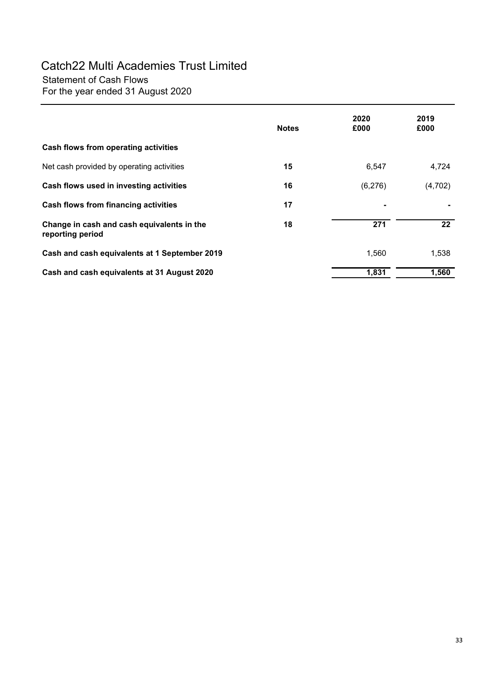For the year ended 31 August 2020 Statement of Cash Flows

|                                                                | <b>Notes</b> | 2020<br>£000 | 2019<br>£000      |
|----------------------------------------------------------------|--------------|--------------|-------------------|
| <b>Cash flows from operating activities</b>                    |              |              |                   |
| Net cash provided by operating activities                      | 15           | 6,547        | 4,724             |
| Cash flows used in investing activities                        | 16           | (6, 276)     | (4,702)           |
| <b>Cash flows from financing activities</b>                    | 17           |              |                   |
| Change in cash and cash equivalents in the<br>reporting period | 18           | 271          | $22 \overline{ }$ |
| Cash and cash equivalents at 1 September 2019                  |              | 1,560        | 1,538             |
| Cash and cash equivalents at 31 August 2020                    |              | 1,831        | 1,560             |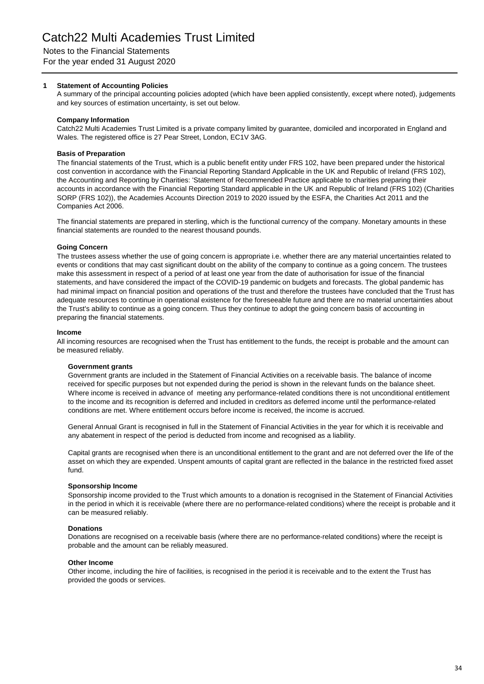#### Notes to the Financial Statements

For the year ended 31 August 2020

#### **1 Statement of Accounting Policies**

A summary of the principal accounting policies adopted (which have been applied consistently, except where noted), judgements and key sources of estimation uncertainty, is set out below.

#### **Company Information**

Catch22 Multi Academies Trust Limited is a private company limited by guarantee, domiciled and incorporated in England and Wales. The registered office is 27 Pear Street, London, EC1V 3AG.

#### **Basis of Preparation**

The financial statements of the Trust, which is a public benefit entity under FRS 102, have been prepared under the historical cost convention in accordance with the Financial Reporting Standard Applicable in the UK and Republic of Ireland (FRS 102), the Accounting and Reporting by Charities: 'Statement of Recommended Practice applicable to charities preparing their accounts in accordance with the Financial Reporting Standard applicable in the UK and Republic of Ireland (FRS 102) (Charities SORP (FRS 102)), the Academies Accounts Direction 2019 to 2020 issued by the ESFA, the Charities Act 2011 and the Companies Act 2006.

The financial statements are prepared in sterling, which is the functional currency of the company. Monetary amounts in these financial statements are rounded to the nearest thousand pounds.

#### **Going Concern**

The trustees assess whether the use of going concern is appropriate i.e. whether there are any material uncertainties related to events or conditions that may cast significant doubt on the ability of the company to continue as a going concern. The trustees make this assessment in respect of a period of at least one year from the date of authorisation for issue of the financial statements, and have considered the impact of the COVID-19 pandemic on budgets and forecasts. The global pandemic has had minimal impact on financial position and operations of the trust and therefore the trustees have concluded that the Trust has adequate resources to continue in operational existence for the foreseeable future and there are no material uncertainties about the Trust's ability to continue as a going concern. Thus they continue to adopt the going concern basis of accounting in preparing the financial statements.

#### **Income**

All incoming resources are recognised when the Trust has entitlement to the funds, the receipt is probable and the amount can be measured reliably.

#### **Government grants**

Government grants are included in the Statement of Financial Activities on a receivable basis. The balance of income received for specific purposes but not expended during the period is shown in the relevant funds on the balance sheet. Where income is received in advance of meeting any performance-related conditions there is not unconditional entitlement to the income and its recognition is deferred and included in creditors as deferred income until the performance-related conditions are met. Where entitlement occurs before income is received, the income is accrued.

General Annual Grant is recognised in full in the Statement of Financial Activities in the year for which it is receivable and any abatement in respect of the period is deducted from income and recognised as a liability.

Capital grants are recognised when there is an unconditional entitlement to the grant and are not deferred over the life of the asset on which they are expended. Unspent amounts of capital grant are reflected in the balance in the restricted fixed asset fund.

#### **Sponsorship Income**

Sponsorship income provided to the Trust which amounts to a donation is recognised in the Statement of Financial Activities in the period in which it is receivable (where there are no performance-related conditions) where the receipt is probable and it can be measured reliably.

#### **Donations**

Donations are recognised on a receivable basis (where there are no performance-related conditions) where the receipt is probable and the amount can be reliably measured.

#### **Other Income**

Other income, including the hire of facilities, is recognised in the period it is receivable and to the extent the Trust has provided the goods or services.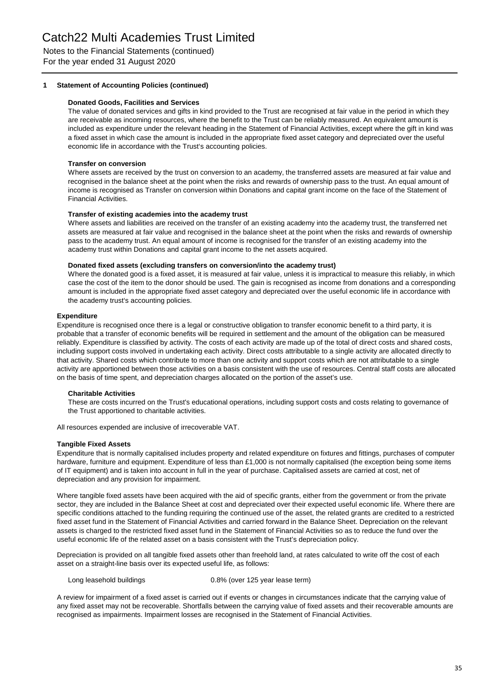Notes to the Financial Statements (continued)

For the year ended 31 August 2020

#### **1 Statement of Accounting Policies (continued)**

#### **Donated Goods, Facilities and Services**

The value of donated services and gifts in kind provided to the Trust are recognised at fair value in the period in which they are receivable as incoming resources, where the benefit to the Trust can be reliably measured. An equivalent amount is included as expenditure under the relevant heading in the Statement of Financial Activities, except where the gift in kind was a fixed asset in which case the amount is included in the appropriate fixed asset category and depreciated over the useful economic life in accordance with the Trust's accounting policies.

#### **Transfer on conversion**

Where assets are received by the trust on conversion to an academy, the transferred assets are measured at fair value and recognised in the balance sheet at the point when the risks and rewards of ownership pass to the trust. An equal amount of income is recognised as Transfer on conversion within Donations and capital grant income on the face of the Statement of Financial Activities.

#### **Transfer of existing academies into the academy trust**

Where assets and liabilities are received on the transfer of an existing academy into the academy trust, the transferred net assets are measured at fair value and recognised in the balance sheet at the point when the risks and rewards of ownership pass to the academy trust. An equal amount of income is recognised for the transfer of an existing academy into the academy trust within Donations and capital grant income to the net assets acquired.

#### **Donated fixed assets (excluding transfers on conversion/into the academy trust)**

Where the donated good is a fixed asset, it is measured at fair value, unless it is impractical to measure this reliably, in which case the cost of the item to the donor should be used. The gain is recognised as income from donations and a corresponding amount is included in the appropriate fixed asset category and depreciated over the useful economic life in accordance with the academy trust's accounting policies.

#### **Expenditure**

Expenditure is recognised once there is a legal or constructive obligation to transfer economic benefit to a third party, it is probable that a transfer of economic benefits will be required in settlement and the amount of the obligation can be measured reliably. Expenditure is classified by activity. The costs of each activity are made up of the total of direct costs and shared costs, including support costs involved in undertaking each activity. Direct costs attributable to a single activity are allocated directly to that activity. Shared costs which contribute to more than one activity and support costs which are not attributable to a single activity are apportioned between those activities on a basis consistent with the use of resources. Central staff costs are allocated on the basis of time spent, and depreciation charges allocated on the portion of the asset's use.

#### **Charitable Activities**

These are costs incurred on the Trust's educational operations, including support costs and costs relating to governance of the Trust apportioned to charitable activities.

All resources expended are inclusive of irrecoverable VAT.

#### **Tangible Fixed Assets**

Expenditure that is normally capitalised includes property and related expenditure on fixtures and fittings, purchases of computer hardware, furniture and equipment. Expenditure of less than £1,000 is not normally capitalised (the exception being some items of IT equipment) and is taken into account in full in the year of purchase. Capitalised assets are carried at cost, net of depreciation and any provision for impairment.

Where tangible fixed assets have been acquired with the aid of specific grants, either from the government or from the private sector, they are included in the Balance Sheet at cost and depreciated over their expected useful economic life. Where there are specific conditions attached to the funding requiring the continued use of the asset, the related grants are credited to a restricted fixed asset fund in the Statement of Financial Activities and carried forward in the Balance Sheet. Depreciation on the relevant assets is charged to the restricted fixed asset fund in the Statement of Financial Activities so as to reduce the fund over the useful economic life of the related asset on a basis consistent with the Trust's depreciation policy.

Depreciation is provided on all tangible fixed assets other than freehold land, at rates calculated to write off the cost of each asset on a straight-line basis over its expected useful life, as follows:

Long leasehold buildings 0.8% (over 125 year lease term)

A review for impairment of a fixed asset is carried out if events or changes in circumstances indicate that the carrying value of any fixed asset may not be recoverable. Shortfalls between the carrying value of fixed assets and their recoverable amounts are recognised as impairments. Impairment losses are recognised in the Statement of Financial Activities.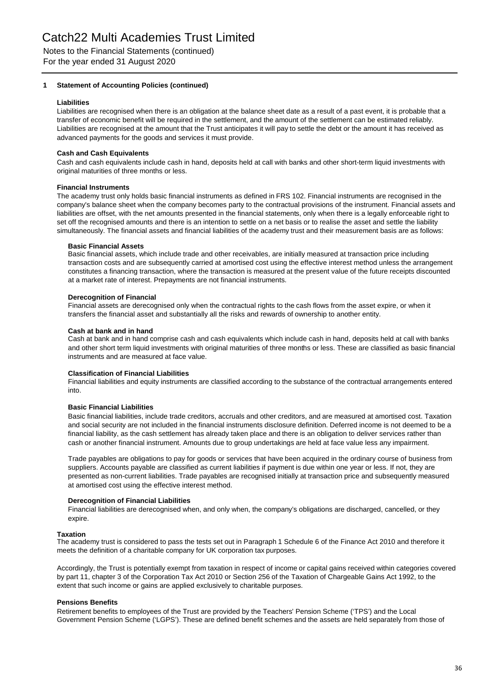Notes to the Financial Statements (continued)

For the year ended 31 August 2020

#### **1 Statement of Accounting Policies (continued)**

#### **Liabilities**

Liabilities are recognised when there is an obligation at the balance sheet date as a result of a past event, it is probable that a transfer of economic benefit will be required in the settlement, and the amount of the settlement can be estimated reliably. Liabilities are recognised at the amount that the Trust anticipates it will pay to settle the debt or the amount it has received as advanced payments for the goods and services it must provide.

#### **Cash and Cash Equivalents**

Cash and cash equivalents include cash in hand, deposits held at call with banks and other short-term liquid investments with original maturities of three months or less.

#### **Financial Instruments**

The academy trust only holds basic financial instruments as defined in FRS 102. Financial instruments are recognised in the company's balance sheet when the company becomes party to the contractual provisions of the instrument. Financial assets and liabilities are offset, with the net amounts presented in the financial statements, only when there is a legally enforceable right to set off the recognised amounts and there is an intention to settle on a net basis or to realise the asset and settle the liability simultaneously. The financial assets and financial liabilities of the academy trust and their measurement basis are as follows:

#### **Basic Financial Assets**

Basic financial assets, which include trade and other receivables, are initially measured at transaction price including transaction costs and are subsequently carried at amortised cost using the effective interest method unless the arrangement constitutes a financing transaction, where the transaction is measured at the present value of the future receipts discounted at a market rate of interest. Prepayments are not financial instruments.

#### **Derecognition of Financial**

Financial assets are derecognised only when the contractual rights to the cash flows from the asset expire, or when it transfers the financial asset and substantially all the risks and rewards of ownership to another entity.

#### **Cash at bank and in hand**

Cash at bank and in hand comprise cash and cash equivalents which include cash in hand, deposits held at call with banks and other short term liquid investments with original maturities of three months or less. These are classified as basic financial instruments and are measured at face value.

#### **Classification of Financial Liabilities**

Financial liabilities and equity instruments are classified according to the substance of the contractual arrangements entered into.

#### **Basic Financial Liabilities**

Basic financial liabilities, include trade creditors, accruals and other creditors, and are measured at amortised cost. Taxation and social security are not included in the financial instruments disclosure definition. Deferred income is not deemed to be a financial liability, as the cash settlement has already taken place and there is an obligation to deliver services rather than cash or another financial instrument. Amounts due to group undertakings are held at face value less any impairment.

Trade payables are obligations to pay for goods or services that have been acquired in the ordinary course of business from suppliers. Accounts payable are classified as current liabilities if payment is due within one year or less. If not, they are presented as non-current liabilities. Trade payables are recognised initially at transaction price and subsequently measured at amortised cost using the effective interest method.

#### **Derecognition of Financial Liabilities**

Financial liabilities are derecognised when, and only when, the company's obligations are discharged, cancelled, or they expire.

#### **Taxation**

The academy trust is considered to pass the tests set out in Paragraph 1 Schedule 6 of the Finance Act 2010 and therefore it meets the definition of a charitable company for UK corporation tax purposes.

Accordingly, the Trust is potentially exempt from taxation in respect of income or capital gains received within categories covered by part 11, chapter 3 of the Corporation Tax Act 2010 or Section 256 of the Taxation of Chargeable Gains Act 1992, to the extent that such income or gains are applied exclusively to charitable purposes.

#### **Pensions Benefits**

Retirement benefits to employees of the Trust are provided by the Teachers' Pension Scheme ('TPS') and the Local Government Pension Scheme ('LGPS'). These are defined benefit schemes and the assets are held separately from those of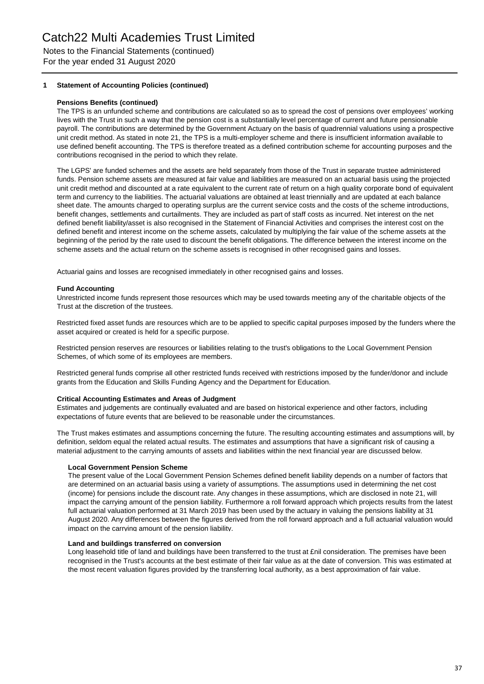Notes to the Financial Statements (continued)

For the year ended 31 August 2020

#### **1 Statement of Accounting Policies (continued)**

#### **Pensions Benefits (continued)**

The TPS is an unfunded scheme and contributions are calculated so as to spread the cost of pensions over employees' working lives with the Trust in such a way that the pension cost is a substantially level percentage of current and future pensionable payroll. The contributions are determined by the Government Actuary on the basis of quadrennial valuations using a prospective unit credit method. As stated in note 21, the TPS is a multi-employer scheme and there is insufficient information available to use defined benefit accounting. The TPS is therefore treated as a defined contribution scheme for accounting purposes and the contributions recognised in the period to which they relate.

The LGPS' are funded schemes and the assets are held separately from those of the Trust in separate trustee administered funds. Pension scheme assets are measured at fair value and liabilities are measured on an actuarial basis using the projected unit credit method and discounted at a rate equivalent to the current rate of return on a high quality corporate bond of equivalent term and currency to the liabilities. The actuarial valuations are obtained at least triennially and are updated at each balance sheet date. The amounts charged to operating surplus are the current service costs and the costs of the scheme introductions, benefit changes, settlements and curtailments. They are included as part of staff costs as incurred. Net interest on the net defined benefit liability/asset is also recognised in the Statement of Financial Activities and comprises the interest cost on the defined benefit and interest income on the scheme assets, calculated by multiplying the fair value of the scheme assets at the beginning of the period by the rate used to discount the benefit obligations. The difference between the interest income on the scheme assets and the actual return on the scheme assets is recognised in other recognised gains and losses.

Actuarial gains and losses are recognised immediately in other recognised gains and losses.

#### **Fund Accounting**

Unrestricted income funds represent those resources which may be used towards meeting any of the charitable objects of the Trust at the discretion of the trustees.

Restricted fixed asset funds are resources which are to be applied to specific capital purposes imposed by the funders where the asset acquired or created is held for a specific purpose.

Restricted pension reserves are resources or liabilities relating to the trust's obligations to the Local Government Pension Schemes, of which some of its employees are members.

Restricted general funds comprise all other restricted funds received with restrictions imposed by the funder/donor and include grants from the Education and Skills Funding Agency and the Department for Education.

#### **Critical Accounting Estimates and Areas of Judgment**

Estimates and judgements are continually evaluated and are based on historical experience and other factors, including expectations of future events that are believed to be reasonable under the circumstances.

The Trust makes estimates and assumptions concerning the future. The resulting accounting estimates and assumptions will, by definition, seldom equal the related actual results. The estimates and assumptions that have a significant risk of causing a material adjustment to the carrying amounts of assets and liabilities within the next financial year are discussed below.

#### **Local Government Pension Scheme**

The present value of the Local Government Pension Schemes defined benefit liability depends on a number of factors that are determined on an actuarial basis using a variety of assumptions. The assumptions used in determining the net cost (income) for pensions include the discount rate. Any changes in these assumptions, which are disclosed in note 21, will impact the carrying amount of the pension liability. Furthermore a roll forward approach which projects results from the latest full actuarial valuation performed at 31 March 2019 has been used by the actuary in valuing the pensions liability at 31 August 2020. Any differences between the figures derived from the roll forward approach and a full actuarial valuation would impact on the carrying amount of the pension liability.

#### **Land and buildings transferred on conversion**

Long leasehold title of land and buildings have been transferred to the trust at £nil consideration. The premises have been recognised in the Trust's accounts at the best estimate of their fair value as at the date of conversion. This was estimated at the most recent valuation figures provided by the transferring local authority, as a best approximation of fair value.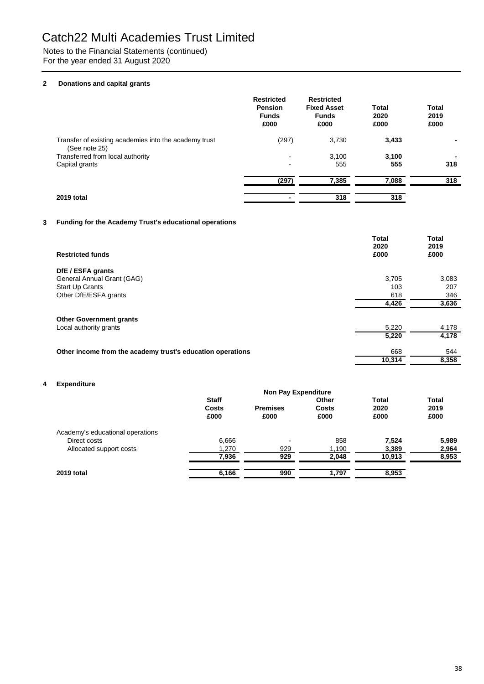Notes to the Financial Statements (continued)

For the year ended 31 August 2020

#### **2 Donations and capital grants**

|                                                                        | <b>Restricted</b><br><b>Pension</b><br><b>Funds</b><br>£000 | <b>Restricted</b><br><b>Fixed Asset</b><br><b>Funds</b><br>£000 | Total<br>2020<br>£000 | <b>Total</b><br>2019<br>£000 |
|------------------------------------------------------------------------|-------------------------------------------------------------|-----------------------------------------------------------------|-----------------------|------------------------------|
| Transfer of existing academies into the academy trust<br>(See note 25) | (297)                                                       | 3,730                                                           | 3,433                 |                              |
| Transferred from local authority                                       |                                                             | 3,100                                                           | 3,100                 |                              |
| Capital grants                                                         |                                                             | 555                                                             | 555                   | 318                          |
|                                                                        | (297)                                                       | 7,385                                                           | 7,088                 | 318                          |
| 2019 total                                                             |                                                             | 318                                                             | 318                   |                              |

#### **3 Funding for the Academy Trust's educational operations**

|                                                            | <b>Total</b><br>2020 | <b>Total</b><br>2019 |
|------------------------------------------------------------|----------------------|----------------------|
| <b>Restricted funds</b>                                    | £000                 | £000                 |
| DfE / ESFA grants                                          |                      |                      |
| General Annual Grant (GAG)                                 | 3,705                | 3,083                |
| <b>Start Up Grants</b>                                     | 103                  | 207                  |
| Other DfE/ESFA grants                                      | 618                  | 346                  |
|                                                            | 4,426                | 3,636                |
| <b>Other Government grants</b>                             |                      |                      |
| Local authority grants                                     | 5,220                | 4,178                |
|                                                            | 5,220                | 4,178                |
| Other income from the academy trust's education operations | 668                  | 544                  |
|                                                            | 10.314               | 8,358                |

#### **4 Expenditure**

|                                  | <b>Non Pay Expenditure</b> |                          |       |        |              |  |  |  |
|----------------------------------|----------------------------|--------------------------|-------|--------|--------------|--|--|--|
|                                  | <b>Staff</b>               |                          | Other | Total  | <b>Total</b> |  |  |  |
|                                  | <b>Costs</b>               | <b>Premises</b>          | Costs | 2020   | 2019         |  |  |  |
|                                  | £000                       | £000                     | £000  | £000   | £000         |  |  |  |
| Academy's educational operations |                            |                          |       |        |              |  |  |  |
| Direct costs                     | 6,666                      | $\overline{\phantom{0}}$ | 858   | 7,524  | 5,989        |  |  |  |
| Allocated support costs          | 1.270                      | 929                      | 1.190 | 3,389  | 2,964        |  |  |  |
|                                  | 7,936                      | 929                      | 2.048 | 10,913 | 8,953        |  |  |  |
| 2019 total                       | 6,166                      | 990                      | 1.797 | 8,953  |              |  |  |  |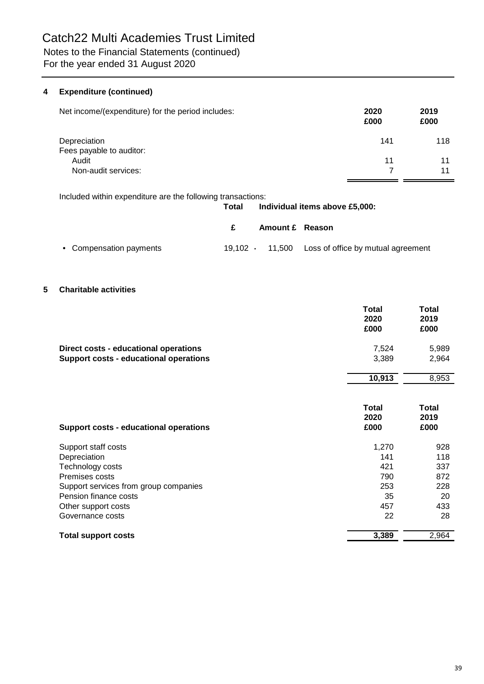Notes to the Financial Statements (continued)

For the year ended 31 August 2020

## **4 Expenditure (continued)**

| Net income/(expenditure) for the period includes: | 2020<br>£000 | 2019<br>£000 |
|---------------------------------------------------|--------------|--------------|
| Depreciation<br>Fees payable to auditor:          | 141          | 118          |
| Audit                                             | 11           |              |
| Non-audit services:                               |              | 11           |

Included within expenditure are the following transactions:

|                         | Total    | Individual items above £5,000: |                                           |
|-------------------------|----------|--------------------------------|-------------------------------------------|
|                         | £        | <b>Amount £ Reason</b>         |                                           |
| • Compensation payments | 19.102 · |                                | 11,500 Loss of office by mutual agreement |

### **5 Charitable activities**

|                                               | <b>Total</b><br>2020<br>£000 | <b>Total</b><br>2019<br>£000 |
|-----------------------------------------------|------------------------------|------------------------------|
| Direct costs - educational operations         | 7,524                        | 5,989                        |
| <b>Support costs - educational operations</b> | 3,389                        | 2,964                        |
|                                               | 10,913                       | 8,953                        |
| <b>Support costs - educational operations</b> | <b>Total</b><br>2020<br>£000 | Total<br>2019<br>£000        |
| Support staff costs                           | 1,270                        | 928                          |
| Depreciation                                  | 141                          | 118                          |
| Technology costs                              | 421                          | 337                          |
| Premises costs                                | 790                          | 872                          |
| Support services from group companies         | 253                          | 228                          |
| Pension finance costs                         | 35                           | 20                           |
| Other support costs                           | 457                          | 433                          |
| Governance costs                              | 22                           | 28                           |
| <b>Total support costs</b>                    | 3,389                        | 2,964                        |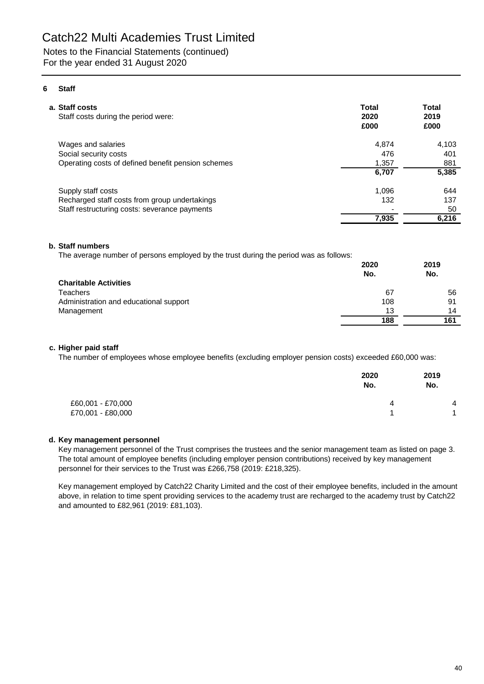Notes to the Financial Statements (continued)

For the year ended 31 August 2020

#### **6 Staff**

| a. Staff costs<br>Staff costs during the period were: | Total<br>2020<br>£000 | Total<br>2019<br>£000 |
|-------------------------------------------------------|-----------------------|-----------------------|
| Wages and salaries                                    | 4.874                 | 4,103                 |
| Social security costs                                 | 476                   | 401                   |
| Operating costs of defined benefit pension schemes    | 1,357                 | 881                   |
|                                                       | 6,707                 | 5,385                 |
| Supply staff costs                                    | 1,096                 | 644                   |
| Recharged staff costs from group undertakings         | 132                   | 137                   |
| Staff restructuring costs: severance payments         |                       | 50                    |
|                                                       | 7,935                 | 6,216                 |

#### **b. Staff numbers**

The average number of persons employed by the trust during the period was as follows:

|                                        | 2020 | 2019 |
|----------------------------------------|------|------|
|                                        | No.  | No.  |
| <b>Charitable Activities</b>           |      |      |
| <b>Teachers</b>                        | 67   | 56   |
| Administration and educational support | 108  | 91   |
| Management                             | 13   | 14   |
|                                        | 188  | 161  |

#### **c. Higher paid staff**

The number of employees whose employee benefits (excluding employer pension costs) exceeded £60,000 was:

|                   | 2020<br>No. | 2019<br>No. |
|-------------------|-------------|-------------|
| £60,001 - £70,000 | 4           | 4           |
| £70,001 - £80,000 | и           |             |

#### **d. Key management personnel**

Key management personnel of the Trust comprises the trustees and the senior management team as listed on page 3. The total amount of employee benefits (including employer pension contributions) received by key management personnel for their services to the Trust was £266,758 (2019: £218,325).

Key management employed by Catch22 Charity Limited and the cost of their employee benefits, included in the amount above, in relation to time spent providing services to the academy trust are recharged to the academy trust by Catch22 and amounted to £82,961 (2019: £81,103).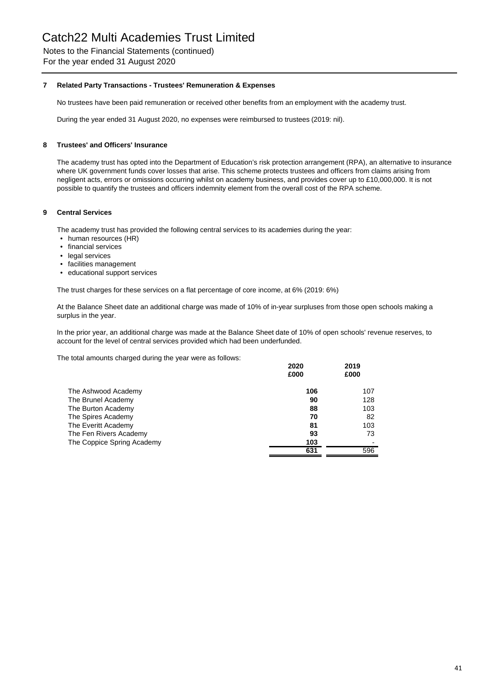Notes to the Financial Statements (continued)

For the year ended 31 August 2020

#### **7 Related Party Transactions - Trustees' Remuneration & Expenses**

No trustees have been paid remuneration or received other benefits from an employment with the academy trust.

During the year ended 31 August 2020, no expenses were reimbursed to trustees (2019: nil).

#### **8 Trustees' and Officers' Insurance**

The academy trust has opted into the Department of Education's risk protection arrangement (RPA), an alternative to insurance where UK government funds cover losses that arise. This scheme protects trustees and officers from claims arising from negligent acts, errors or omissions occurring whilst on academy business, and provides cover up to £10,000,000. It is not possible to quantify the trustees and officers indemnity element from the overall cost of the RPA scheme.

#### **9 Central Services**

The academy trust has provided the following central services to its academies during the year:

- human resources (HR)
- financial services
- legal services
- facilities management
- educational support services

The trust charges for these services on a flat percentage of core income, at 6% (2019: 6%)

At the Balance Sheet date an additional charge was made of 10% of in-year surpluses from those open schools making a surplus in the year.

In the prior year, an additional charge was made at the Balance Sheet date of 10% of open schools' revenue reserves, to account for the level of central services provided which had been underfunded.

The total amounts charged during the year were as follows:

|                            | 2020 | 2019 |
|----------------------------|------|------|
|                            | £000 | £000 |
| The Ashwood Academy        | 106  | 107  |
| The Brunel Academy         | 90   | 128  |
| The Burton Academy         | 88   | 103  |
| The Spires Academy         | 70   | 82   |
| The Everitt Academy        | 81   | 103  |
| The Fen Rivers Academy     | 93   | 73   |
| The Coppice Spring Academy | 103  |      |
|                            | 631  | 596  |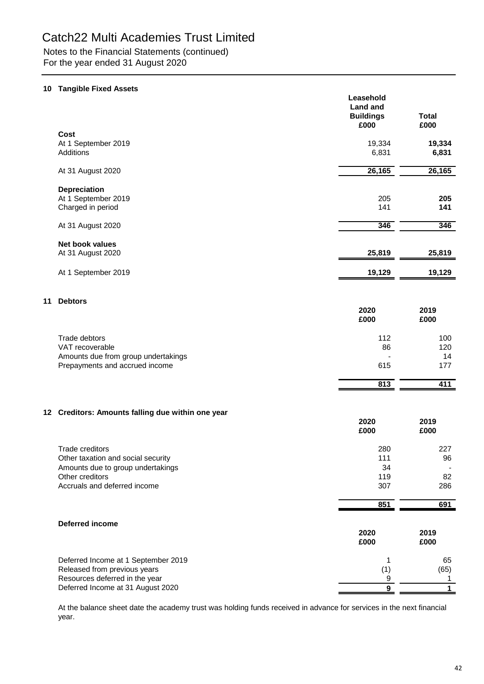For the year ended 31 August 2020 Notes to the Financial Statements (continued)

### **10 Tangible Fixed Assets**

|    |                                                                                                                                               | Leasehold<br><b>Land and</b><br><b>Buildings</b><br>£000 | <b>Total</b><br>£000            |
|----|-----------------------------------------------------------------------------------------------------------------------------------------------|----------------------------------------------------------|---------------------------------|
|    | Cost<br>At 1 September 2019<br>Additions                                                                                                      | 19,334<br>6,831                                          | 19,334<br>6,831                 |
|    | At 31 August 2020                                                                                                                             | 26,165                                                   | 26,165                          |
|    | Depreciation<br>At 1 September 2019<br>Charged in period                                                                                      | 205<br>141                                               | 205<br>141                      |
|    | At 31 August 2020                                                                                                                             | 346                                                      | 346                             |
|    | Net book values<br>At 31 August 2020                                                                                                          | 25,819                                                   | 25,819                          |
|    | At 1 September 2019                                                                                                                           | 19,129                                                   | 19,129                          |
| 11 | <b>Debtors</b>                                                                                                                                | 2020<br>£000                                             | 2019<br>£000                    |
|    | <b>Trade debtors</b><br>VAT recoverable<br>Amounts due from group undertakings<br>Prepayments and accrued income                              | 112<br>86<br>615                                         | 100<br>120<br>14<br>177         |
|    |                                                                                                                                               | 813                                                      | 411                             |
|    | 12 Creditors: Amounts falling due within one year                                                                                             | 2020<br>£000                                             | 2019<br>£000                    |
|    | Trade creditors<br>Other taxation and social security<br>Amounts due to group undertakings<br>Other creditors<br>Accruals and deferred income | 280<br>111<br>34<br>119<br>307                           | 227<br>96<br>82<br>286          |
|    |                                                                                                                                               | 851                                                      | 691                             |
|    | Deferred income                                                                                                                               | 2020<br>£000                                             | 2019<br>£000                    |
|    | Deferred Income at 1 September 2019<br>Released from previous years<br>Resources deferred in the year<br>Deferred Income at 31 August 2020    | 1<br>(1)<br>9<br>9                                       | 65<br>(65)<br>1<br>$\mathbf{1}$ |
|    |                                                                                                                                               |                                                          |                                 |

At the balance sheet date the academy trust was holding funds received in advance for services in the next financial year.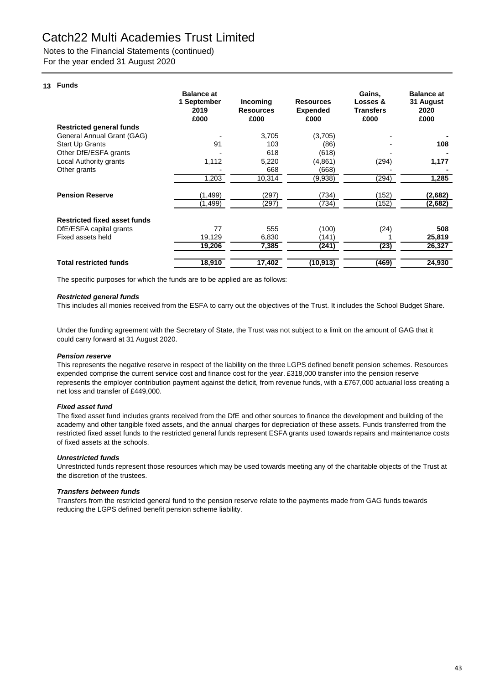For the year ended 31 August 2020 Notes to the Financial Statements (continued)

#### **13 Funds**

| ı unus                              | <b>Balance at</b><br>1 September<br>2019<br>£000 | <b>Incoming</b><br><b>Resources</b><br>£000 | <b>Resources</b><br><b>Expended</b><br>£000 | Gains.<br>Losses &<br><b>Transfers</b><br>£000 | <b>Balance at</b><br>31 August<br>2020<br>£000 |
|-------------------------------------|--------------------------------------------------|---------------------------------------------|---------------------------------------------|------------------------------------------------|------------------------------------------------|
| <b>Restricted general funds</b>     |                                                  |                                             |                                             |                                                |                                                |
| General Annual Grant (GAG)          |                                                  | 3,705                                       | (3,705)                                     |                                                |                                                |
| Start Up Grants                     | 91                                               | 103                                         | (86)                                        |                                                | 108                                            |
| Other DfE/ESFA grants               |                                                  | 618                                         | (618)                                       |                                                |                                                |
| Local Authority grants              | 1,112                                            | 5,220                                       | (4,861)                                     | (294)                                          | 1,177                                          |
| Other grants                        |                                                  | 668                                         | (668)                                       |                                                |                                                |
|                                     | 1,203                                            | 10,314                                      | (9,938)                                     | (294)                                          | 1,285                                          |
| <b>Pension Reserve</b>              | (1,499)                                          | (297)                                       | (734)                                       | (152)                                          | (2,682)                                        |
|                                     | (1,499)                                          | (297)                                       | (734)                                       | (152)                                          | (2,682)                                        |
| <b>Restricted fixed asset funds</b> |                                                  |                                             |                                             |                                                |                                                |
| DfE/ESFA capital grants             | 77                                               | 555                                         | (100)                                       | (24)                                           | 508                                            |
| Fixed assets held                   | 19,129                                           | 6,830                                       | (141)                                       |                                                | 25,819                                         |
|                                     | 19,206                                           | 7,385                                       | (241)                                       | (23)                                           | 26,327                                         |
| <b>Total restricted funds</b>       | 18,910                                           | 17,402                                      | (10, 913)                                   | (469)                                          | 24,930                                         |

The specific purposes for which the funds are to be applied are as follows:

#### *Restricted general funds*

This includes all monies received from the ESFA to carry out the objectives of the Trust. It includes the School Budget Share.

Under the funding agreement with the Secretary of State, the Trust was not subject to a limit on the amount of GAG that it could carry forward at 31 August 2020.

#### *Pension reserve*

This represents the negative reserve in respect of the liability on the three LGPS defined benefit pension schemes. Resources expended comprise the current service cost and finance cost for the year. £318,000 transfer into the pension reserve represents the employer contribution payment against the deficit, from revenue funds, with a £767,000 actuarial loss creating a net loss and transfer of £449,000.

#### *Fixed asset fund*

The fixed asset fund includes grants received from the DfE and other sources to finance the development and building of the academy and other tangible fixed assets, and the annual charges for depreciation of these assets. Funds transferred from the restricted fixed asset funds to the restricted general funds represent ESFA grants used towards repairs and maintenance costs of fixed assets at the schools.

#### *Unrestricted funds*

Unrestricted funds represent those resources which may be used towards meeting any of the charitable objects of the Trust at the discretion of the trustees.

#### *Transfers between funds*

Transfers from the restricted general fund to the pension reserve relate to the payments made from GAG funds towards reducing the LGPS defined benefit pension scheme liability.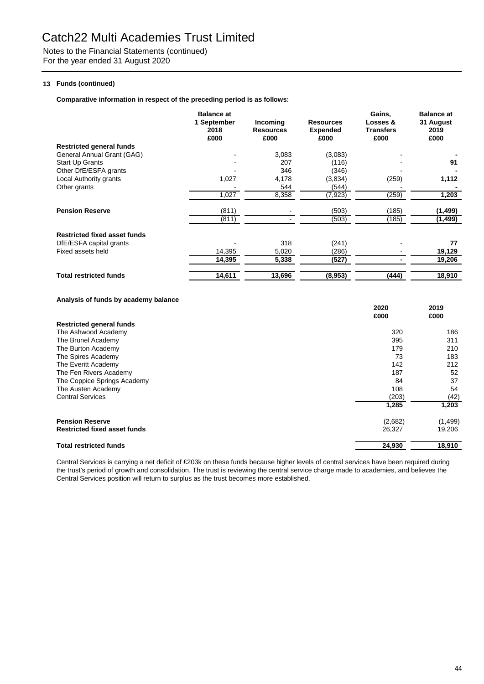Notes to the Financial Statements (continued)

For the year ended 31 August 2020

#### **13 Funds (continued)**

#### **Comparative information in respect of the preceding period is as follows:**

|                                     | <b>Balance at</b><br>September<br>2018<br>£000 | Incoming<br><b>Resources</b><br>£000 | <b>Resources</b><br><b>Expended</b><br>£000 | Gains.<br>Losses &<br><b>Transfers</b><br>£000 | <b>Balance</b> at<br>31 August<br>2019<br>£000 |
|-------------------------------------|------------------------------------------------|--------------------------------------|---------------------------------------------|------------------------------------------------|------------------------------------------------|
| <b>Restricted general funds</b>     |                                                |                                      |                                             |                                                |                                                |
| General Annual Grant (GAG)          |                                                | 3,083                                | (3,083)                                     |                                                |                                                |
| <b>Start Up Grants</b>              |                                                | 207                                  | (116)                                       |                                                | 91                                             |
| Other DfE/ESFA grants               |                                                | 346                                  | (346)                                       |                                                |                                                |
| Local Authority grants              | 1,027                                          | 4,178                                | (3,834)                                     | (259)                                          | 1,112                                          |
| Other grants                        |                                                | 544                                  | (544)                                       |                                                |                                                |
|                                     | 1,027                                          | 8,358                                | (7, 923)                                    | (259)                                          | 1,203                                          |
| <b>Pension Reserve</b>              | (811)                                          |                                      | (503)                                       | (185)                                          | (1,499)                                        |
|                                     | (811)                                          |                                      | (503)                                       | (185)                                          | (1,499)                                        |
| <b>Restricted fixed asset funds</b> |                                                |                                      |                                             |                                                |                                                |
| DfE/ESFA capital grants             |                                                | 318                                  | (241)                                       |                                                | 77                                             |
| Fixed assets held                   | 14,395                                         | 5,020                                | (286)                                       |                                                | 19,129                                         |
|                                     | 14,395                                         | 5,338                                | (527)                                       |                                                | 19,206                                         |
| <b>Total restricted funds</b>       | 14,611                                         | 13,696                               | (8,953)                                     | (444)                                          | 18,910                                         |

#### **Analysis of funds by academy balance**

| <b>Analysis of Tanus by academy balance</b> |         |          |
|---------------------------------------------|---------|----------|
|                                             | 2020    | 2019     |
|                                             | £000    | £000     |
| <b>Restricted general funds</b>             |         |          |
| The Ashwood Academy                         | 320     | 186      |
| The Brunel Academy                          | 395     | 311      |
| The Burton Academy                          | 179     | 210      |
| The Spires Academy                          | 73      | 183      |
| The Everitt Academy                         | 142     | 212      |
| The Fen Rivers Academy                      | 187     | 52       |
| The Coppice Springs Academy                 | 84      | 37       |
| The Austen Academy                          | 108     | 54       |
| <b>Central Services</b>                     | (203)   | (42)     |
|                                             | 1,285   | 1,203    |
| <b>Pension Reserve</b>                      | (2,682) | (1, 499) |
| <b>Restricted fixed asset funds</b>         | 26,327  | 19,206   |
| <b>Total restricted funds</b>               | 24,930  | 18,910   |

Central Services is carrying a net deficit of £203k on these funds because higher levels of central services have been required during the trust's period of growth and consolidation. The trust is reviewing the central service charge made to academies, and believes the Central Services position will return to surplus as the trust becomes more established.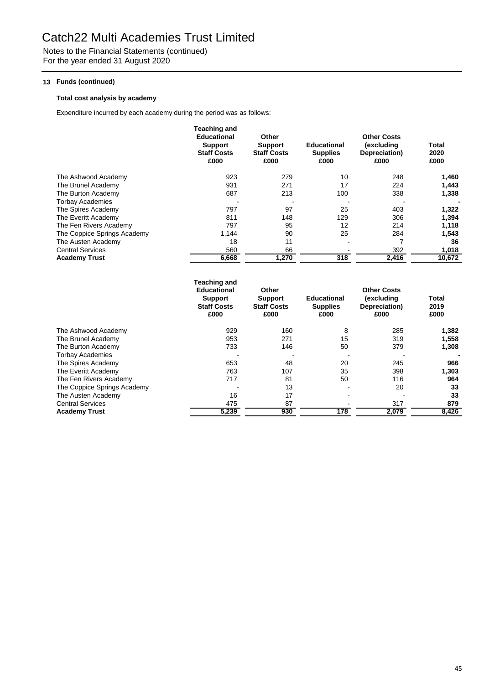Notes to the Financial Statements (continued)

For the year ended 31 August 2020

#### **13 Funds (continued)**

#### **Total cost analysis by academy**

Expenditure incurred by each academy during the period was as follows:

|                             | <b>Teaching and</b><br><b>Educational</b><br>Support<br><b>Staff Costs</b><br>£000 | Other<br><b>Support</b><br><b>Staff Costs</b><br>£000 | Educational<br><b>Supplies</b><br>£000 | <b>Other Costs</b><br>(excluding<br>Depreciation)<br>£000 | Total<br>2020<br>£000 |
|-----------------------------|------------------------------------------------------------------------------------|-------------------------------------------------------|----------------------------------------|-----------------------------------------------------------|-----------------------|
| The Ashwood Academy         | 923                                                                                | 279                                                   | 10                                     | 248                                                       | 1,460                 |
| The Brunel Academy          | 931                                                                                | 271                                                   | 17                                     | 224                                                       | 1,443                 |
| The Burton Academy          | 687                                                                                | 213                                                   | 100                                    | 338                                                       | 1,338                 |
| <b>Torbay Academies</b>     |                                                                                    |                                                       |                                        |                                                           |                       |
| The Spires Academy          | 797                                                                                | 97                                                    | 25                                     | 403                                                       | 1,322                 |
| The Everitt Academy         | 811                                                                                | 148                                                   | 129                                    | 306                                                       | 1,394                 |
| The Fen Rivers Academy      | 797                                                                                | 95                                                    | 12                                     | 214                                                       | 1,118                 |
| The Coppice Springs Academy | 1.144                                                                              | 90                                                    | 25                                     | 284                                                       | 1,543                 |
| The Austen Academy          | 18                                                                                 | 11                                                    |                                        |                                                           | 36                    |
| <b>Central Services</b>     | 560                                                                                | 66                                                    |                                        | 392                                                       | 1,018                 |
| <b>Academy Trust</b>        | 6,668                                                                              | 1,270                                                 | 318                                    | 2,416                                                     | 10,672                |

|                             | Teaching and<br><b>Educational</b><br><b>Support</b><br><b>Staff Costs</b><br>£000 | Other<br><b>Support</b><br><b>Staff Costs</b><br>£000 | <b>Educational</b><br><b>Supplies</b><br>£000 | <b>Other Costs</b><br>(excluding<br>Depreciation)<br>£000 | Total<br>2019<br>£000 |
|-----------------------------|------------------------------------------------------------------------------------|-------------------------------------------------------|-----------------------------------------------|-----------------------------------------------------------|-----------------------|
| The Ashwood Academy         | 929                                                                                | 160                                                   | 8                                             | 285                                                       | 1,382                 |
| The Brunel Academy          | 953                                                                                | 271                                                   | 15                                            | 319                                                       | 1,558                 |
| The Burton Academy          | 733                                                                                | 146                                                   | 50                                            | 379                                                       | 1,308                 |
| <b>Torbay Academies</b>     |                                                                                    |                                                       |                                               |                                                           |                       |
| The Spires Academy          | 653                                                                                | 48                                                    | 20                                            | 245                                                       | 966                   |
| The Everitt Academy         | 763                                                                                | 107                                                   | 35                                            | 398                                                       | 1,303                 |
| The Fen Rivers Academy      | 717                                                                                | 81                                                    | 50                                            | 116                                                       | 964                   |
| The Coppice Springs Academy |                                                                                    | 13                                                    |                                               | 20                                                        | 33                    |
| The Austen Academy          | 16                                                                                 | 17                                                    |                                               |                                                           | 33                    |
| <b>Central Services</b>     | 475                                                                                | 87                                                    |                                               | 317                                                       | 879                   |
| <b>Academy Trust</b>        | 5,239                                                                              | 930                                                   | 178                                           | 2,079                                                     | 8,426                 |
|                             |                                                                                    |                                                       |                                               |                                                           |                       |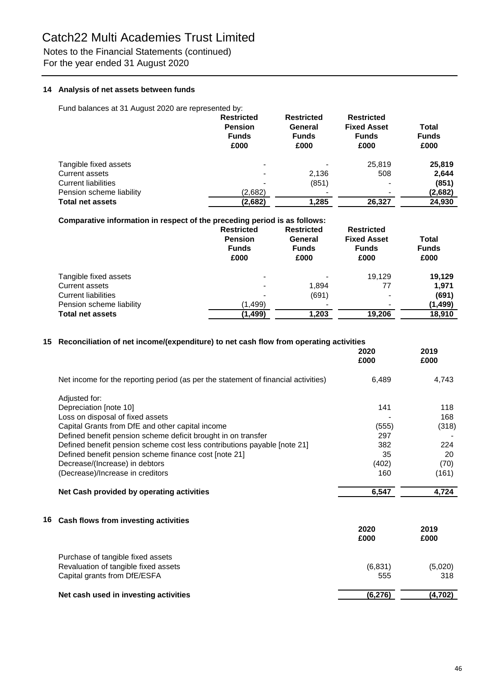Notes to the Financial Statements (continued)

For the year ended 31 August 2020

#### **14 Analysis of net assets between funds**

Fund balances at 31 August 2020 are represented by:

|                            | <b>Restricted</b><br><b>Pension</b><br><b>Funds</b><br>£000 | <b>Restricted</b><br>General<br><b>Funds</b><br>£000 | <b>Restricted</b><br><b>Fixed Asset</b><br><b>Funds</b><br>£000 | Total<br><b>Funds</b><br>£000 |
|----------------------------|-------------------------------------------------------------|------------------------------------------------------|-----------------------------------------------------------------|-------------------------------|
| Tangible fixed assets      |                                                             | $\blacksquare$                                       | 25,819                                                          | 25,819                        |
| Current assets             | $\overline{\phantom{0}}$                                    | 2.136                                                | 508                                                             | 2,644                         |
| <b>Current liabilities</b> |                                                             | (851)                                                | $\blacksquare$                                                  | (851)                         |
| Pension scheme liability   | (2,682)                                                     | $\blacksquare$                                       |                                                                 | (2,682)                       |
| <b>Total net assets</b>    | (2,682)                                                     | 1,285                                                | 26,327                                                          | 24,930                        |

#### **Comparative information in respect of the preceding period is as follows:**

|                            | <b>Restricted</b><br><b>Pension</b><br><b>Funds</b><br>£000 | <b>Restricted</b><br>General<br><b>Funds</b><br>£000 | <b>Restricted</b><br><b>Fixed Asset</b><br><b>Funds</b><br>£000 | <b>Total</b><br><b>Funds</b><br>£000 |
|----------------------------|-------------------------------------------------------------|------------------------------------------------------|-----------------------------------------------------------------|--------------------------------------|
| Tangible fixed assets      |                                                             |                                                      | 19.129                                                          | 19.129                               |
| Current assets             | $\blacksquare$                                              | 1.894                                                | 77                                                              | 1,971                                |
| <b>Current liabilities</b> |                                                             | (691)                                                | $\,$                                                            | (691)                                |
| Pension scheme liability   | (1,499)                                                     |                                                      |                                                                 | (1, 499)                             |
| <b>Total net assets</b>    | (1,499)                                                     | 1,203                                                | 19,206                                                          | 18,910                               |

#### **15 Reconciliation of net income/(expenditure) to net cash flow from operating activities**

|    |                                                                                    | 2020<br>£000 | 2019<br>£000 |
|----|------------------------------------------------------------------------------------|--------------|--------------|
|    | Net income for the reporting period (as per the statement of financial activities) | 6,489        | 4,743        |
|    | Adjusted for:                                                                      |              |              |
|    | Depreciation [note 10]                                                             | 141          | 118          |
|    | Loss on disposal of fixed assets                                                   |              | 168          |
|    | Capital Grants from DfE and other capital income                                   | (555)        | (318)        |
|    | Defined benefit pension scheme deficit brought in on transfer                      | 297          |              |
|    | Defined benefit pension scheme cost less contributions payable [note 21]           | 382          | 224          |
|    | Defined benefit pension scheme finance cost [note 21]                              | 35           | 20           |
|    | Decrease/(Increase) in debtors                                                     | (402)        | (70)         |
|    | (Decrease)/Increase in creditors                                                   | 160          | (161)        |
|    | Net Cash provided by operating activities                                          | 6,547        | 4,724        |
| 16 | Cash flows from investing activities                                               | 2020         | 2019         |
|    |                                                                                    | £000         | £000         |
|    | Purchase of tangible fixed assets                                                  |              |              |
|    | Revaluation of tangible fixed assets                                               | (6, 831)     | (5,020)      |
|    | Capital grants from DfE/ESFA                                                       | 555          | 318          |
|    | Net cash used in investing activities                                              | (6, 276)     | (4, 702)     |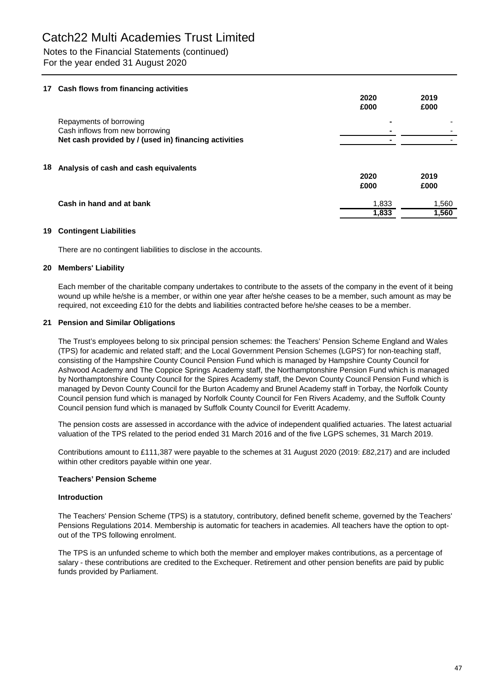For the year ended 31 August 2020 Notes to the Financial Statements (continued)

| 17 | Cash flows from financing activities                  |       |       |
|----|-------------------------------------------------------|-------|-------|
|    |                                                       | 2020  | 2019  |
|    |                                                       | £000  | £000  |
|    | Repayments of borrowing                               | -     |       |
|    | Cash inflows from new borrowing                       |       |       |
|    | Net cash provided by / (used in) financing activities |       |       |
| 18 | Analysis of cash and cash equivalents                 |       |       |
|    |                                                       | 2020  | 2019  |
|    |                                                       | £000  | £000  |
|    | Cash in hand and at bank                              | 1,833 | 1,560 |
|    |                                                       | 1,833 | 1.560 |

#### **19 Contingent Liabilities**

There are no contingent liabilities to disclose in the accounts.

#### **20 Members' Liability**

Each member of the charitable company undertakes to contribute to the assets of the company in the event of it being wound up while he/she is a member, or within one year after he/she ceases to be a member, such amount as may be required, not exceeding £10 for the debts and liabilities contracted before he/she ceases to be a member.

#### **21 Pension and Similar Obligations**

The Trust's employees belong to six principal pension schemes: the Teachers' Pension Scheme England and Wales (TPS) for academic and related staff; and the Local Government Pension Schemes (LGPS') for non-teaching staff, consisting of the Hampshire County Council Pension Fund which is managed by Hampshire County Council for Ashwood Academy and The Coppice Springs Academy staff, the Northamptonshire Pension Fund which is managed by Northamptonshire County Council for the Spires Academy staff, the Devon County Council Pension Fund which is managed by Devon County Council for the Burton Academy and Brunel Academy staff in Torbay, the Norfolk County Council pension fund which is managed by Norfolk County Council for Fen Rivers Academy, and the Suffolk County Council pension fund which is managed by Suffolk County Council for Everitt Academy.

The pension costs are assessed in accordance with the advice of independent qualified actuaries. The latest actuarial valuation of the TPS related to the period ended 31 March 2016 and of the five LGPS schemes, 31 March 2019.

Contributions amount to £111,387 were payable to the schemes at 31 August 2020 (2019: £82,217) and are included within other creditors payable within one year.

#### **Teachers' Pension Scheme**

#### **Introduction**

The Teachers' Pension Scheme (TPS) is a statutory, contributory, defined benefit scheme, governed by the Teachers' Pensions Regulations 2014. Membership is automatic for teachers in academies. All teachers have the option to optout of the TPS following enrolment.

The TPS is an unfunded scheme to which both the member and employer makes contributions, as a percentage of salary - these contributions are credited to the Exchequer. Retirement and other pension benefits are paid by public funds provided by Parliament.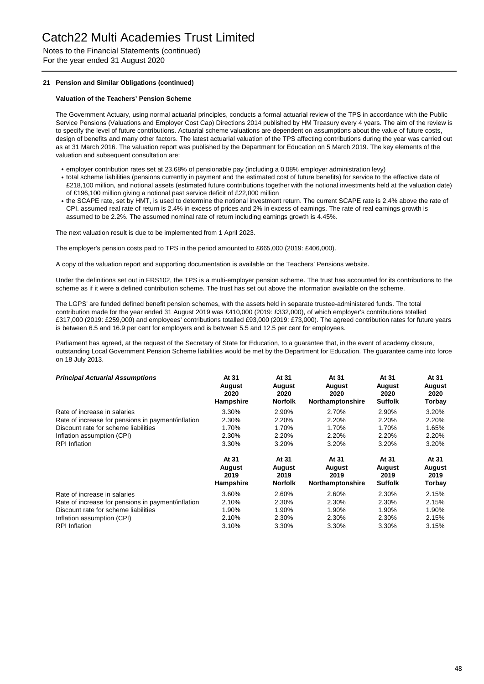Notes to the Financial Statements (continued)

For the year ended 31 August 2020

#### **21 Pension and Similar Obligations (continued)**

#### **Valuation of the Teachers' Pension Scheme**

The Government Actuary, using normal actuarial principles, conducts a formal actuarial review of the TPS in accordance with the Public Service Pensions (Valuations and Employer Cost Cap) Directions 2014 published by HM Treasury every 4 years. The aim of the review is to specify the level of future contributions. Actuarial scheme valuations are dependent on assumptions about the value of future costs, design of benefits and many other factors. The latest actuarial valuation of the TPS affecting contributions during the year was carried out as at 31 March 2016. The valuation report was published by the Department for Education on 5 March 2019. The key elements of the valuation and subsequent consultation are:

- **•** employer contribution rates set at 23.68% of pensionable pay (including a 0.08% employer administration levy)
- **•** total scheme liabilities (pensions currently in payment and the estimated cost of future benefits) for service to the effective date of £218,100 million, and notional assets (estimated future contributions together with the notional investments held at the valuation date) of £196,100 million giving a notional past service deficit of £22,000 million
- **•** the SCAPE rate, set by HMT, is used to determine the notional investment return. The current SCAPE rate is 2.4% above the rate of CPI. assumed real rate of return is 2.4% in excess of prices and 2% in excess of earnings. The rate of real earnings growth is assumed to be 2.2%. The assumed nominal rate of return including earnings growth is 4.45%.

The next valuation result is due to be implemented from 1 April 2023.

The employer's pension costs paid to TPS in the period amounted to £665,000 (2019: £406,000).

A copy of the valuation report and supporting documentation is available on the Teachers' Pensions website.

Under the definitions set out in FRS102, the TPS is a multi-employer pension scheme. The trust has accounted for its contributions to the scheme as if it were a defined contribution scheme. The trust has set out above the information available on the scheme.

The LGPS' are funded defined benefit pension schemes, with the assets held in separate trustee-administered funds. The total contribution made for the year ended 31 August 2019 was £410,000 (2019: £332,000), of which employer's contributions totalled £317,000 (2019: £259,000) and employees' contributions totalled £93,000 (2019: £73,000). The agreed contribution rates for future years is between 6.5 and 16.9 per cent for employers and is between 5.5 and 12.5 per cent for employees.

Parliament has agreed, at the request of the Secretary of State for Education, to a guarantee that, in the event of academy closure, outstanding Local Government Pension Scheme liabilities would be met by the Department for Education. The guarantee came into force on 18 July 2013.

| <b>Principal Actuarial Assumptions</b>             | At 31<br><b>August</b><br>2020<br><b>Hampshire</b> | At 31<br>August<br>2020<br><b>Norfolk</b> | At 31<br>August<br>2020<br>Northamptonshire        | At 31<br><b>August</b><br>2020<br><b>Suffolk</b> | At 31<br>August<br>2020<br>Torbay |
|----------------------------------------------------|----------------------------------------------------|-------------------------------------------|----------------------------------------------------|--------------------------------------------------|-----------------------------------|
| Rate of increase in salaries                       | 3.30%                                              | 2.90%                                     | 2.70%                                              | 2.90%                                            | 3.20%                             |
| Rate of increase for pensions in payment/inflation | 2.30%                                              | 2.20%                                     | 2.20%                                              | 2.20%                                            | 2.20%                             |
| Discount rate for scheme liabilities               | 1.70%                                              | 1.70%                                     | 1.70%                                              | 1.70%                                            | 1.65%                             |
| Inflation assumption (CPI)                         | 2.30%                                              | 2.20%                                     | 2.20%                                              | 2.20%                                            | 2.20%                             |
| <b>RPI</b> Inflation                               | 3.30%                                              | 3.20%                                     | 3.20%                                              | 3.20%                                            | 3.20%                             |
|                                                    | At 31<br>August<br>2019<br>Hampshire               | At 31<br>August<br>2019<br><b>Norfolk</b> | At 31<br>August<br>2019<br><b>Northamptonshire</b> | At 31<br>August<br>2019<br><b>Suffolk</b>        | At 31<br>August<br>2019<br>Torbay |
| Rate of increase in salaries                       | 3.60%                                              | 2.60%                                     | 2.60%                                              | 2.30%                                            | 2.15%                             |
| Rate of increase for pensions in payment/inflation | 2.10%                                              | 2.30%                                     | 2.30%                                              | 2.30%                                            | 2.15%                             |
| Discount rate for scheme liabilities               | 1.90%                                              | 1.90%                                     | 1.90%                                              | 1.90%                                            | 1.90%                             |
| Inflation assumption (CPI)                         | 2.10%                                              | 2.30%                                     | 2.30%                                              | 2.30%                                            | 2.15%                             |
| <b>RPI</b> Inflation                               | 3.10%                                              | 3.30%                                     | 3.30%                                              | 3.30%                                            | 3.15%                             |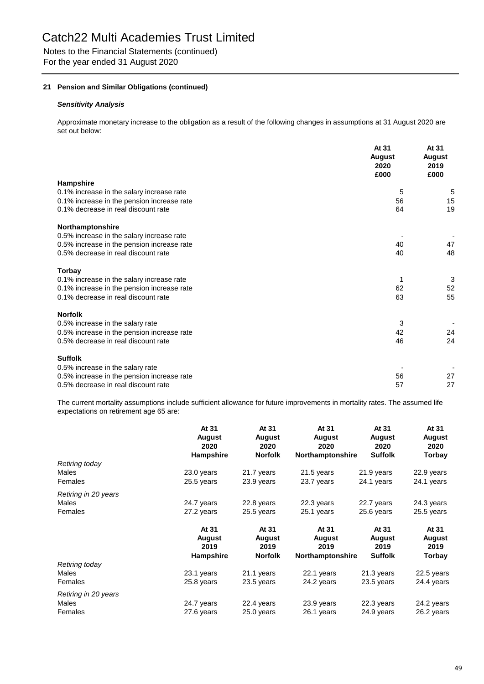Notes to the Financial Statements (continued)

For the year ended 31 August 2020

#### **21 Pension and Similar Obligations (continued)**

#### *Sensitivity Analysis*

Approximate monetary increase to the obligation as a result of the following changes in assumptions at 31 August 2020 are set out below:

|                                            | At 31<br>August<br>2020<br>£000 | At 31<br><b>August</b><br>2019<br>£000 |
|--------------------------------------------|---------------------------------|----------------------------------------|
| Hampshire                                  |                                 |                                        |
| 0.1% increase in the salary increase rate  | 5                               | 5                                      |
| 0.1% increase in the pension increase rate | 56                              | 15                                     |
| 0.1% decrease in real discount rate        | 64                              | 19                                     |
| Northamptonshire                           |                                 |                                        |
| 0.5% increase in the salary increase rate  |                                 |                                        |
| 0.5% increase in the pension increase rate | 40                              | 47                                     |
| 0.5% decrease in real discount rate        | 40                              | 48                                     |
| Torbay                                     |                                 |                                        |
| 0.1% increase in the salary increase rate  |                                 | 3                                      |
| 0.1% increase in the pension increase rate | 62                              | 52                                     |
| 0.1% decrease in real discount rate        | 63                              | 55                                     |
| <b>Norfolk</b>                             |                                 |                                        |
| 0.5% increase in the salary rate           | 3                               |                                        |
| 0.5% increase in the pension increase rate | 42                              | 24                                     |
| 0.5% decrease in real discount rate        | 46                              | 24                                     |
| <b>Suffolk</b>                             |                                 |                                        |
| 0.5% increase in the salary rate           |                                 |                                        |
| 0.5% increase in the pension increase rate | 56                              | 27                                     |
| 0.5% decrease in real discount rate        | 57                              | 27                                     |
|                                            |                                 |                                        |

The current mortality assumptions include sufficient allowance for future improvements in mortality rates. The assumed life expectations on retirement age 65 are:

|                                          | At 31<br>August<br>2020<br>Hampshire        | At 31<br><b>August</b><br>2020<br><b>Norfolk</b> | At 31<br>August<br>2020<br>Northamptonshire        | At 31<br>August<br>2020<br><b>Suffolk</b> | At 31<br>August<br>2020<br>Torbay        |
|------------------------------------------|---------------------------------------------|--------------------------------------------------|----------------------------------------------------|-------------------------------------------|------------------------------------------|
| Retiring today                           |                                             |                                                  |                                                    |                                           |                                          |
| Males                                    | 23.0 years                                  | 21.7 years                                       | 21.5 years                                         | 21.9 years                                | 22.9 years                               |
| Females                                  | 25.5 years                                  | 23.9 years                                       | 23.7 years                                         | 24.1 years                                | 24.1 years                               |
| Retiring in 20 years                     |                                             |                                                  |                                                    |                                           |                                          |
| Males                                    | 24.7 years                                  | 22.8 years                                       | 22.3 years                                         | 22.7 years                                | 24.3 years                               |
| Females                                  | 27.2 years                                  | 25.5 years                                       | 25.1 years                                         | 25.6 years                                | 25.5 years                               |
|                                          | At 31<br>August<br>2019<br><b>Hampshire</b> | At 31<br>August<br>2019<br><b>Norfolk</b>        | At 31<br><b>August</b><br>2019<br>Northamptonshire | At 31<br>August<br>2019<br><b>Suffolk</b> | At 31<br><b>August</b><br>2019<br>Torbay |
| Retiring today                           |                                             |                                                  |                                                    |                                           |                                          |
| Males                                    | 23.1 years                                  | 21.1 years                                       | 22.1 years                                         | 21.3 years                                | $22.5$ years                             |
| Females                                  | 25.8 years                                  | 23.5 years                                       | 24.2 years                                         | 23.5 years                                | 24.4 years                               |
| Retiring in 20 years<br>Males<br>Females | 24.7 years<br>27.6 years                    | 22.4 years<br>25.0 years                         | 23.9 years<br>26.1 years                           | 22.3 years<br>24.9 years                  | 24.2 years<br>26.2 years                 |
|                                          |                                             |                                                  |                                                    |                                           |                                          |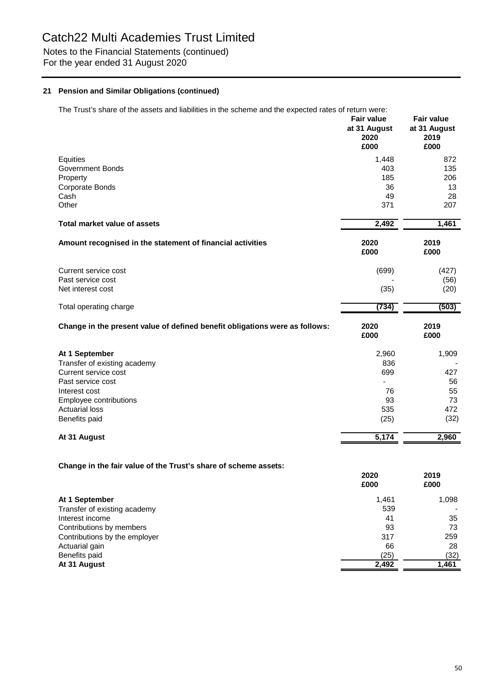Notes to the Financial Statements (continued)

For the year ended 31 August 2020

#### **21 Pension and Similar Obligations (continued)**

The Trust's share of the assets and liabilities in the scheme and the expected rates of return were:

|                                                                             | <b>Fair value</b><br>at 31 August<br>2020<br>£000 | <b>Fair value</b><br>at 31 August<br>2019<br>£000 |
|-----------------------------------------------------------------------------|---------------------------------------------------|---------------------------------------------------|
| Equities                                                                    | 1,448                                             | 872                                               |
| <b>Government Bonds</b>                                                     | 403                                               | 135                                               |
| Property                                                                    | 185                                               | 206                                               |
| <b>Corporate Bonds</b>                                                      | 36                                                | 13                                                |
| Cash                                                                        | 49                                                | 28                                                |
| Other                                                                       | 371                                               | 207                                               |
| Total market value of assets                                                | 2,492                                             | 1,461                                             |
| Amount recognised in the statement of financial activities                  | 2020<br>£000                                      | 2019<br>£000                                      |
| Current service cost                                                        | (699)                                             | (427)                                             |
| Past service cost                                                           |                                                   | (56)                                              |
| Net interest cost                                                           | (35)                                              | (20)                                              |
| Total operating charge                                                      | (734)                                             | (503)                                             |
| Change in the present value of defined benefit obligations were as follows: | 2020<br>£000                                      | 2019<br>£000                                      |
| At 1 September                                                              | 2,960                                             | 1,909                                             |
| Transfer of existing academy                                                | 836                                               |                                                   |
| Current service cost                                                        | 699                                               | 427                                               |
| Past service cost                                                           |                                                   | 56                                                |
| Interest cost                                                               | 76                                                | 55                                                |
| Employee contributions<br><b>Actuarial loss</b>                             | 93<br>535                                         | 73<br>472                                         |
| Benefits paid                                                               | (25)                                              | (32)                                              |
|                                                                             |                                                   |                                                   |
| At 31 August                                                                | 5,174                                             | 2,960                                             |
|                                                                             |                                                   |                                                   |

**Change in the fair value of the Trust's share of scheme assets:**

|                               | 2020<br>£000 | 2019<br>£000 |
|-------------------------------|--------------|--------------|
| At 1 September                | 1,461        | 1,098        |
| Transfer of existing academy  | 539          |              |
| Interest income               | 41           | 35           |
| Contributions by members      | 93           | 73           |
| Contributions by the employer | 317          | 259          |
| Actuarial gain                | 66           | 28           |
| Benefits paid                 | (25)         | (32)         |
| At 31 August                  | 2,492        | 1,461        |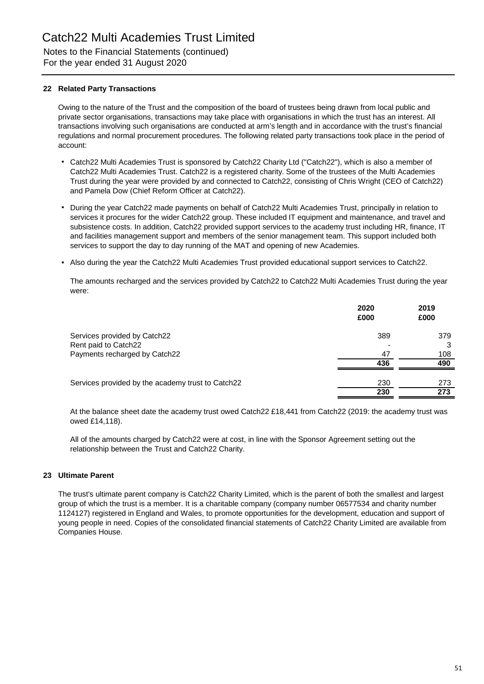For the year ended 31 August 2020

#### **22 Related Party Transactions**

Owing to the nature of the Trust and the composition of the board of trustees being drawn from local public and private sector organisations, transactions may take place with organisations in which the trust has an interest. All transactions involving such organisations are conducted at arm's length and in accordance with the trust's financial regulations and normal procurement procedures. The following related party transactions took place in the period of account:

- Catch22 Multi Academies Trust is sponsored by Catch22 Charity Ltd ("Catch22"), which is also a member of Catch22 Multi Academies Trust. Catch22 is a registered charity. Some of the trustees of the Multi Academies Trust during the year were provided by and connected to Catch22, consisting of Chris Wright (CEO of Catch22) and Pamela Dow (Chief Reform Officer at Catch22).
- During the year Catch22 made payments on behalf of Catch22 Multi Academies Trust, principally in relation to services it procures for the wider Catch22 group. These included IT equipment and maintenance, and travel and subsistence costs. In addition, Catch22 provided support services to the academy trust including HR, finance, IT and facilities management support and members of the senior management team. This support included both services to support the day to day running of the MAT and opening of new Academies.
- Also during the year the Catch22 Multi Academies Trust provided educational support services to Catch22.

The amounts recharged and the services provided by Catch22 to Catch22 Multi Academies Trust during the year were:

|                                                   | 2020<br>£000 | 2019<br>£000 |
|---------------------------------------------------|--------------|--------------|
| Services provided by Catch22                      | 389          | 379          |
| Rent paid to Catch22                              |              | 3            |
| Payments recharged by Catch22                     | 47           | 108          |
|                                                   | 436          | 490          |
| Services provided by the academy trust to Catch22 | 230          | 273          |
|                                                   | 230          | 273          |
|                                                   |              |              |

At the balance sheet date the academy trust owed Catch22 £18,441 from Catch22 (2019: the academy trust was owed £14,118).

All of the amounts charged by Catch22 were at cost, in line with the Sponsor Agreement setting out the relationship between the Trust and Catch22 Charity.

#### **23 Ultimate Parent**

The trust's ultimate parent company is Catch22 Charity Limited, which is the parent of both the smallest and largest group of which the trust is a member. It is a charitable company (company number 06577534 and charity number 1124127) registered in England and Wales, to promote opportunities for the development, education and support of young people in need. Copies of the consolidated financial statements of Catch22 Charity Limited are available from Companies House.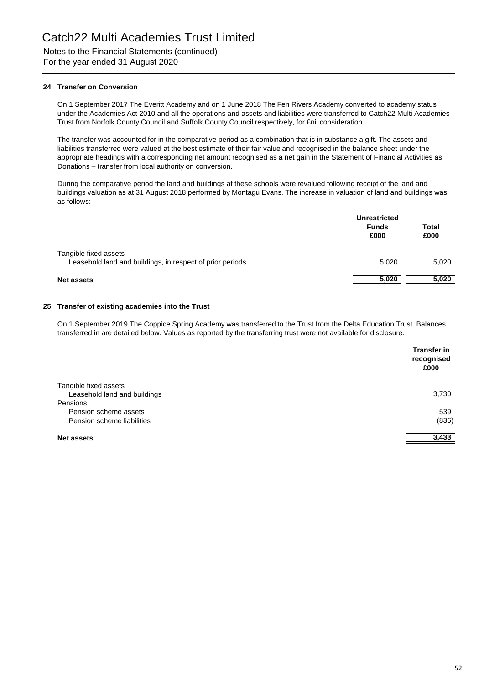### Notes to the Financial Statements (continued)

For the year ended 31 August 2020

#### **24 Transfer on Conversion**

On 1 September 2017 The Everitt Academy and on 1 June 2018 The Fen Rivers Academy converted to academy status under the Academies Act 2010 and all the operations and assets and liabilities were transferred to Catch22 Multi Academies Trust from Norfolk County Council and Suffolk County Council respectively, for £nil consideration.

The transfer was accounted for in the comparative period as a combination that is in substance a gift. The assets and liabilities transferred were valued at the best estimate of their fair value and recognised in the balance sheet under the appropriate headings with a corresponding net amount recognised as a net gain in the Statement of Financial Activities as Donations – transfer from local authority on conversion.

During the comparative period the land and buildings at these schools were revalued following receipt of the land and buildings valuation as at 31 August 2018 performed by Montagu Evans. The increase in valuation of land and buildings was as follows:

|                                                                                    | <b>Unrestricted</b>  |               |  |
|------------------------------------------------------------------------------------|----------------------|---------------|--|
|                                                                                    | <b>Funds</b><br>£000 | Total<br>£000 |  |
| Tangible fixed assets<br>Leasehold land and buildings, in respect of prior periods | 5,020                | 5,020         |  |
| <b>Net assets</b>                                                                  | 5.020                | 5,020         |  |

#### **25 Transfer of existing academies into the Trust**

On 1 September 2019 The Coppice Spring Academy was transferred to the Trust from the Delta Education Trust. Balances transferred in are detailed below. Values as reported by the transferring trust were not available for disclosure.

|                                                                 | <b>Transfer in</b><br>recognised<br>£000 |
|-----------------------------------------------------------------|------------------------------------------|
| Tangible fixed assets<br>Leasehold land and buildings           | 3,730                                    |
| Pensions<br>Pension scheme assets<br>Pension scheme liabilities | 539<br>(836)                             |
| <b>Net assets</b>                                               | 3,433                                    |